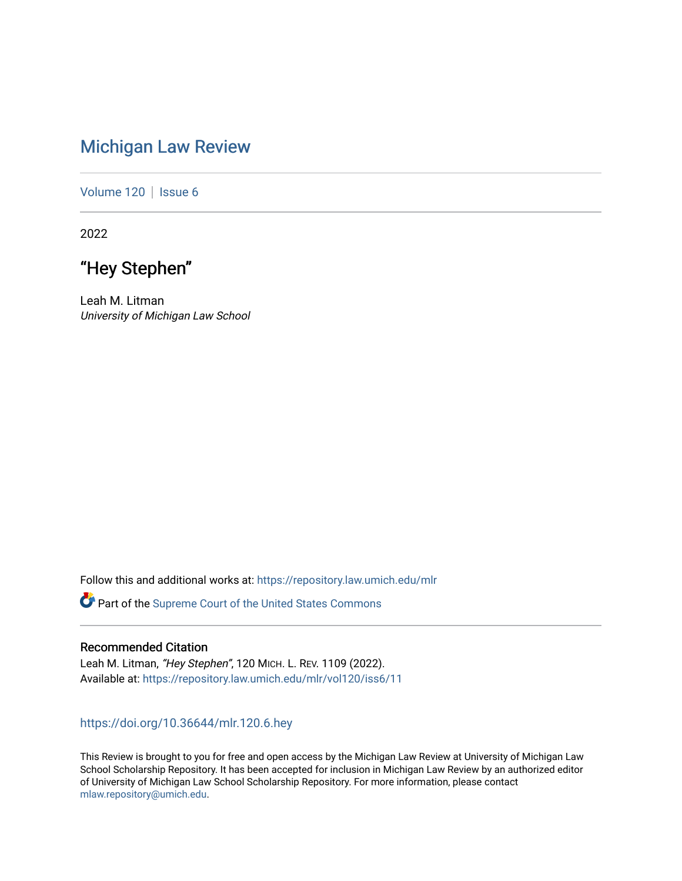# [Michigan Law Review](https://repository.law.umich.edu/mlr)

[Volume 120](https://repository.law.umich.edu/mlr/vol120) | [Issue 6](https://repository.law.umich.edu/mlr/vol120/iss6)

2022

# "Hey Stephen"

Leah M. Litman University of Michigan Law School

Follow this and additional works at: [https://repository.law.umich.edu/mlr](https://repository.law.umich.edu/mlr?utm_source=repository.law.umich.edu%2Fmlr%2Fvol120%2Fiss6%2F11&utm_medium=PDF&utm_campaign=PDFCoverPages) 

Part of the [Supreme Court of the United States Commons](http://network.bepress.com/hgg/discipline/1350?utm_source=repository.law.umich.edu%2Fmlr%2Fvol120%2Fiss6%2F11&utm_medium=PDF&utm_campaign=PDFCoverPages) 

## Recommended Citation

Leah M. Litman, "Hey Stephen", 120 MICH. L. REV. 1109 (2022). Available at: [https://repository.law.umich.edu/mlr/vol120/iss6/11](https://repository.law.umich.edu/mlr/vol120/iss6/11?utm_source=repository.law.umich.edu%2Fmlr%2Fvol120%2Fiss6%2F11&utm_medium=PDF&utm_campaign=PDFCoverPages) 

# <https://doi.org/10.36644/mlr.120.6.hey>

This Review is brought to you for free and open access by the Michigan Law Review at University of Michigan Law School Scholarship Repository. It has been accepted for inclusion in Michigan Law Review by an authorized editor of University of Michigan Law School Scholarship Repository. For more information, please contact [mlaw.repository@umich.edu.](mailto:mlaw.repository@umich.edu)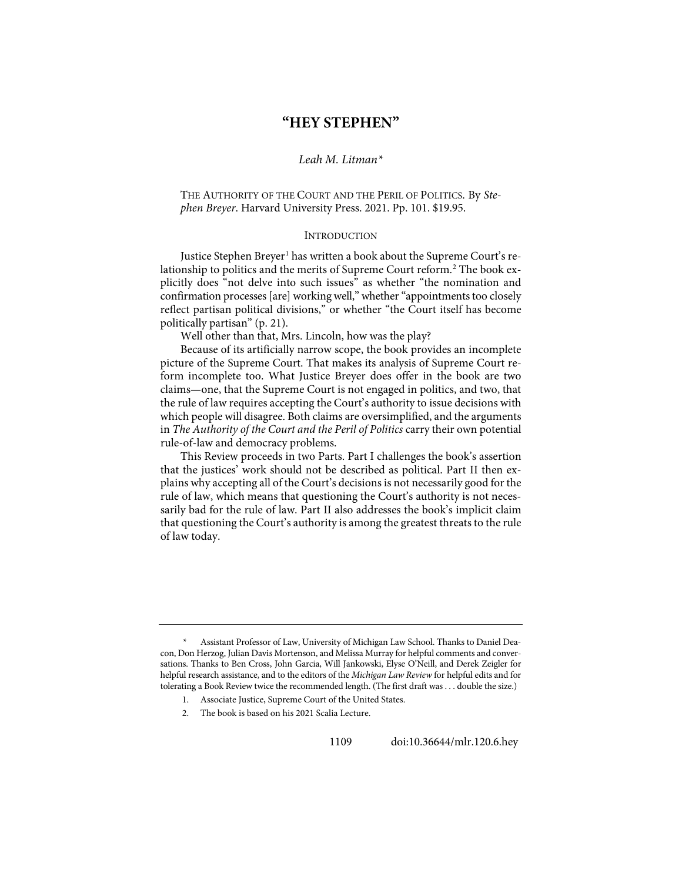# **"HEY STEPHEN"**

## *Leah M. Litman[\\*](#page-1-0)*

### THE AUTHORITY OF THE COURT AND THE PERIL OF POLITICS. By *Stephen Breyer*. Harvard University Press. 2021. Pp. 101. \$19.95.

#### **INTRODUCTION**

Justice Stephen Breyer<sup>[1](#page-1-1)</sup> has written a book about the Supreme Court's re-lationship to politics and the merits of Supreme Court reform.<sup>[2](#page-1-2)</sup> The book explicitly does "not delve into such issues" as whether "the nomination and confirmation processes [are] working well," whether "appointments too closely reflect partisan political divisions," or whether "the Court itself has become politically partisan" (p. 21).

Well other than that, Mrs. Lincoln, how was the play?

Because of its artificially narrow scope, the book provides an incomplete picture of the Supreme Court. That makes its analysis of Supreme Court reform incomplete too. What Justice Breyer does offer in the book are two claims—one, that the Supreme Court is not engaged in politics, and two, that the rule of law requires accepting the Court's authority to issue decisions with which people will disagree. Both claims are oversimplified, and the arguments in *The Authority of the Court and the Peril of Politics* carry their own potential rule-of-law and democracy problems.

This Review proceeds in two Parts. Part I challenges the book's assertion that the justices' work should not be described as political. Part II then explains why accepting all of the Court's decisions is not necessarily good for the rule of law, which means that questioning the Court's authority is not necessarily bad for the rule of law. Part II also addresses the book's implicit claim that questioning the Court's authority is among the greatest threats to the rule of law today.

<span id="page-1-2"></span><span id="page-1-1"></span><span id="page-1-0"></span>Assistant Professor of Law, University of Michigan Law School. Thanks to Daniel Deacon, Don Herzog, Julian Davis Mortenson, and Melissa Murray for helpful comments and conversations. Thanks to Ben Cross, John Garcia, Will Jankowski, Elyse O'Neill, and Derek Zeigler for helpful research assistance, and to the editors of the *Michigan Law Review* for helpful edits and for tolerating a Book Review twice the recommended length. (The first draft was . . . double the size.)

<sup>1.</sup> Associate Justice, Supreme Court of the United States.

<sup>2.</sup> The book is based on his 2021 Scalia Lecture.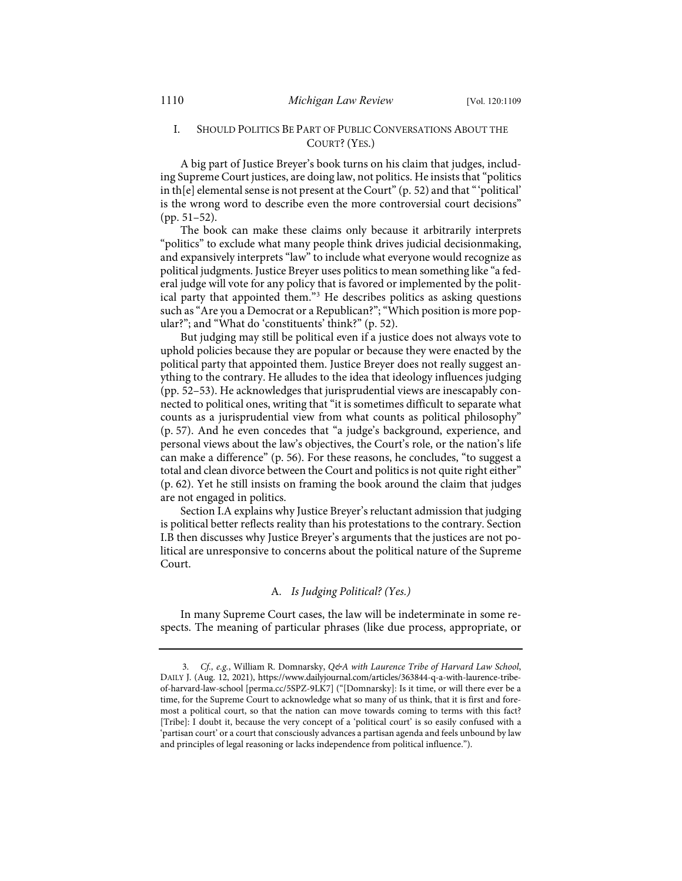### I. SHOULD POLITICS BE PART OF PUBLIC CONVERSATIONS ABOUT THE COURT?(YES.)

A big part of Justice Breyer's book turns on his claim that judges, including Supreme Court justices, are doing law, not politics. He insists that "politics in th[e] elemental sense is not present at the Court" (p. 52) and that "'political' is the wrong word to describe even the more controversial court decisions" (pp. 51–52).

The book can make these claims only because it arbitrarily interprets "politics" to exclude what many people think drives judicial decisionmaking, and expansively interprets "law" to include what everyone would recognize as political judgments. Justice Breyer uses politics to mean something like "a federal judge will vote for any policy that is favored or implemented by the political party that appointed them."[3](#page-2-0) He describes politics as asking questions such as "Are you a Democrat or a Republican?"; "Which position is more popular?"; and "What do 'constituents' think?" (p. 52).

But judging may still be political even if a justice does not always vote to uphold policies because they are popular or because they were enacted by the political party that appointed them. Justice Breyer does not really suggest anything to the contrary. He alludes to the idea that ideology influences judging (pp. 52–53). He acknowledges that jurisprudential views are inescapably connected to political ones, writing that "it is sometimes difficult to separate what counts as a jurisprudential view from what counts as political philosophy" (p. 57). And he even concedes that "a judge's background, experience, and personal views about the law's objectives, the Court's role, or the nation's life can make a difference" (p. 56). For these reasons, he concludes, "to suggest a total and clean divorce between the Court and politics is not quite right either" (p. 62). Yet he still insists on framing the book around the claim that judges are not engaged in politics.

Section I.A explains why Justice Breyer's reluctant admission that judging is political better reflects reality than his protestations to the contrary. Section I.B then discusses why Justice Breyer's arguments that the justices are not political are unresponsive to concerns about the political nature of the Supreme Court.

#### A*. Is Judging Political? (Yes.)*

In many Supreme Court cases, the law will be indeterminate in some respects. The meaning of particular phrases (like due process, appropriate, or

<span id="page-2-0"></span><sup>3.</sup> *Cf., e.g.*, William R. Domnarsky, *Q&A with Laurence Tribe of Harvard Law School*, DAILY J. (Aug. 12, 2021), [https://www.dailyjournal.com/articles/363844-q-a-with-laurence-tribe](https://www.dailyjournal.com/articles/363844-q-a-with-laurence-tribe-of-harvard-law-school)[of-harvard-law-school](https://www.dailyjournal.com/articles/363844-q-a-with-laurence-tribe-of-harvard-law-school) [\[perma.cc/5SPZ-9LK7\]](https://perma.cc/5SPZ-9LK7) ("[Domnarsky]: Is it time, or will there ever be a time, for the Supreme Court to acknowledge what so many of us think, that it is first and foremost a political court, so that the nation can move towards coming to terms with this fact? [Tribe]: I doubt it, because the very concept of a 'political court' is so easily confused with a 'partisan court' or a court that consciously advances a partisan agenda and feels unbound by law and principles of legal reasoning or lacks independence from political influence.").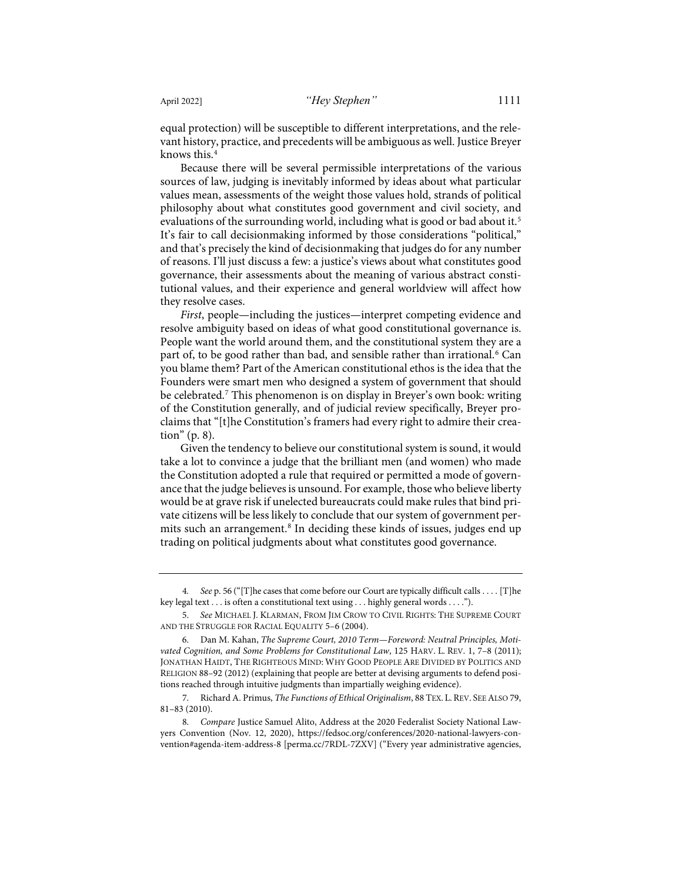equal protection) will be susceptible to different interpretations, and the relevant history, practice, and precedents will be ambiguous as well. Justice Breyer knows this.[4](#page-3-0)

Because there will be several permissible interpretations of the various sources of law, judging is inevitably informed by ideas about what particular values mean, assessments of the weight those values hold, strands of political philosophy about what constitutes good government and civil society, and evaluations of the surrounding world, including what is good or bad about it.<sup>[5](#page-3-1)</sup> It's fair to call decisionmaking informed by those considerations "political," and that's precisely the kind of decisionmaking that judges do for any number of reasons. I'll just discuss a few: a justice's views about what constitutes good governance, their assessments about the meaning of various abstract constitutional values, and their experience and general worldview will affect how they resolve cases.

*First*, people—including the justices—interpret competing evidence and resolve ambiguity based on ideas of what good constitutional governance is. People want the world around them, and the constitutional system they are a part of, to be good rather than bad, and sensible rather than irrational.<sup>[6](#page-3-2)</sup> Can you blame them? Part of the American constitutional ethos is the idea that the Founders were smart men who designed a system of government that should be celebrated.[7](#page-3-3) This phenomenon is on display in Breyer's own book: writing of the Constitution generally, and of judicial review specifically, Breyer proclaims that "[t]he Constitution's framers had every right to admire their creation" (p. 8).

Given the tendency to believe our constitutional system is sound, it would take a lot to convince a judge that the brilliant men (and women) who made the Constitution adopted a rule that required or permitted a mode of governance that the judge believes is unsound. For example, those who believe liberty would be at grave risk if unelected bureaucrats could make rules that bind private citizens will be less likely to conclude that our system of government permits such an arrangement.<sup>8</sup> In deciding these kinds of issues, judges end up trading on political judgments about what constitutes good governance.

<span id="page-3-0"></span><sup>4</sup>*. See* p. 56 ("[T]he cases that come before our Court are typically difficult calls . . . . [T]he key legal text . . . is often a constitutional text using . . . highly general words . . . .").

<span id="page-3-1"></span><sup>5.</sup> *See* MICHAEL J. KLARMAN, FROM JIM CROW TO CIVIL RIGHTS: THE SUPREME COURT AND THE STRUGGLE FOR RACIAL EQUALITY 5–6 (2004).

<span id="page-3-2"></span> <sup>6.</sup> Dan M. Kahan, *The Supreme Court, 2010 Term—Foreword: Neutral Principles, Motivated Cognition, and Some Problems for Constitutional Law*, 125 HARV. L. REV. 1, 7–8 (2011); JONATHAN HAIDT, THE RIGHTEOUS MIND: WHY GOOD PEOPLE ARE DIVIDED BY POLITICS AND RELIGION 88–92 (2012) (explaining that people are better at devising arguments to defend positions reached through intuitive judgments than impartially weighing evidence).

<span id="page-3-3"></span> <sup>7.</sup> Richard A. Primus, *The Functions of Ethical Originalism*, 88 TEX. L.REV. SEE ALSO 79, 81–83 (2010).

<span id="page-3-4"></span><sup>8.</sup> *Compare* Justice Samuel Alito, Address at the 2020 Federalist Society National Lawyers Convention (Nov. 12, 2020), [https://fedsoc.org/conferences/2020-national-lawyers-con](https://fedsoc.org/conferences/2020-national-lawyers-convention#agenda-item-address-8)[vention#agenda-item-address-8](https://fedsoc.org/conferences/2020-national-lawyers-convention#agenda-item-address-8) [\[perma.cc/7RDL-7ZXV\]](https://perma.cc/7RDL-7ZXV) ("Every year administrative agencies,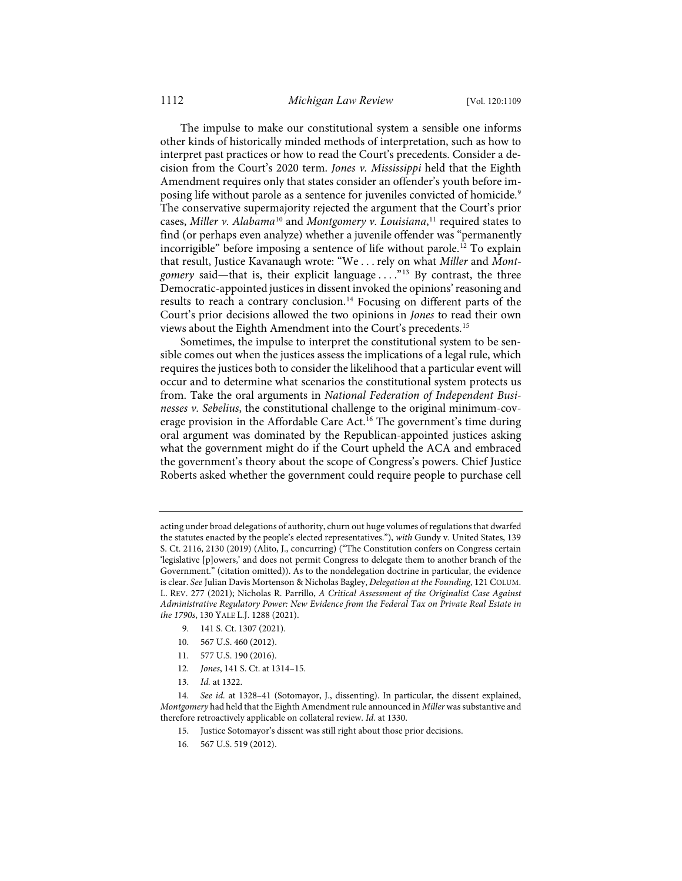The impulse to make our constitutional system a sensible one informs other kinds of historically minded methods of interpretation, such as how to interpret past practices or how to read the Court's precedents. Consider a decision from the Court's 2020 term. *Jones v. Mississippi* held that the Eighth Amendment requires only that states consider an offender's youth before im-posing life without parole as a sentence for juveniles convicted of homicide.<sup>[9](#page-4-0)</sup> The conservative supermajority rejected the argument that the Court's prior cases, *Miller v. Alabama*[10](#page-4-1) and *Montgomery v. Louisiana*, [11](#page-4-2) required states to find (or perhaps even analyze) whether a juvenile offender was "permanently incorrigible" before imposing a sentence of life without parole.[12](#page-4-3) To explain that result, Justice Kavanaugh wrote: "We . . . rely on what *Miller* and *Montgomery* said—that is, their explicit language . . . ."[13](#page-4-4) By contrast, the three Democratic-appointed justices in dissent invoked the opinions' reasoning and results to reach a contrary conclusion.<sup>[14](#page-4-5)</sup> Focusing on different parts of the Court's prior decisions allowed the two opinions in *Jones* to read their own views about the Eighth Amendment into the Court's precedents.[15](#page-4-6)

<span id="page-4-8"></span>Sometimes, the impulse to interpret the constitutional system to be sensible comes out when the justices assess the implications of a legal rule, which requires the justices both to consider the likelihood that a particular event will occur and to determine what scenarios the constitutional system protects us from. Take the oral arguments in *National Federation of Independent Businesses v. Sebelius*, the constitutional challenge to the original minimum-cov-erage provision in the Affordable Care Act.<sup>[16](#page-4-7)</sup> The government's time during oral argument was dominated by the Republican-appointed justices asking what the government might do if the Court upheld the ACA and embraced the government's theory about the scope of Congress's powers. Chief Justice Roberts asked whether the government could require people to purchase cell

- 9. 141 S. Ct. 1307 (2021).
- 10. 567 U.S. 460 (2012).
- 11. 577 U.S. 190 (2016).
- 12. *Jones*, 141 S. Ct. at 1314–15.
- 13. *Id.* at 1322.

- 15. Justice Sotomayor's dissent was still right about those prior decisions.
- 16. 567 U.S. 519 (2012).

acting under broad delegations of authority, churn out huge volumes of regulations that dwarfed the statutes enacted by the people's elected representatives."), *with* Gundy v. United States, 139 S. Ct. 2116, 2130 (2019) (Alito, J., concurring) ("The Constitution confers on Congress certain 'legislative [p]owers,' and does not permit Congress to delegate them to another branch of the Government." (citation omitted)). As to the nondelegation doctrine in particular, the evidence is clear. *See* Julian Davis Mortenson & Nicholas Bagley, *Delegation at the Founding*, 121 COLUM. L. REV. 277 (2021); Nicholas R. Parrillo, *A Critical Assessment of the Originalist Case Against Administrative Regulatory Power: New Evidence from the Federal Tax on Private Real Estate in the 1790s*, 130 YALE L.J. 1288 (2021).

<span id="page-4-7"></span><span id="page-4-6"></span><span id="page-4-5"></span><span id="page-4-4"></span><span id="page-4-3"></span><span id="page-4-2"></span><span id="page-4-1"></span><span id="page-4-0"></span><sup>14.</sup> *See id.* at 1328–41 (Sotomayor, J., dissenting). In particular, the dissent explained, *Montgomery* had held that the Eighth Amendment rule announced in *Miller* was substantive and therefore retroactively applicable on collateral review. *Id.* at 1330.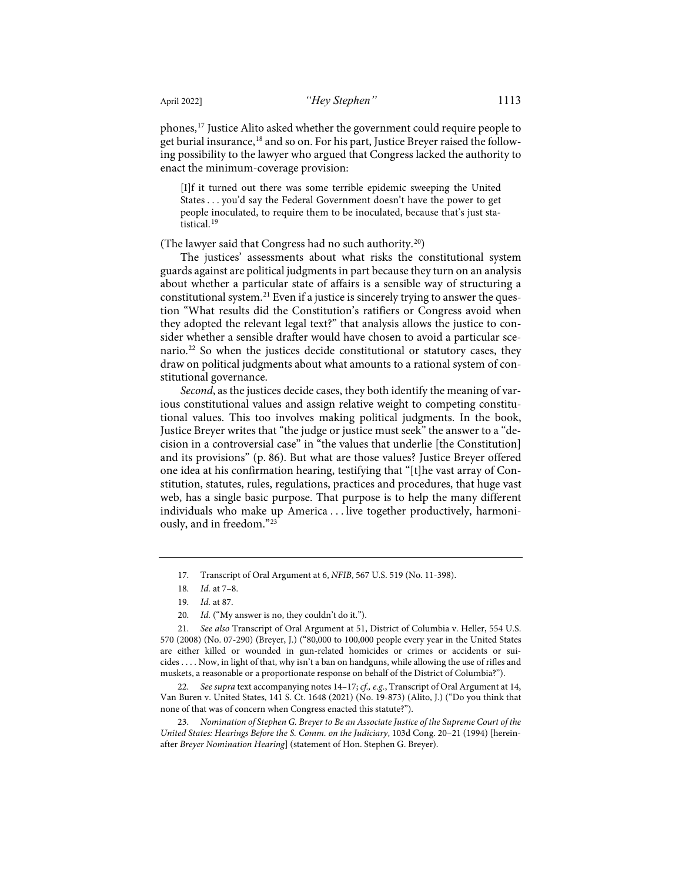<span id="page-5-0"></span>phones[,17](#page-5-1) Justice Alito asked whether the government could require people to get burial insurance,<sup>[18](#page-5-2)</sup> and so on. For his part, Justice Breyer raised the following possibility to the lawyer who argued that Congress lacked the authority to enact the minimum-coverage provision:

[I]f it turned out there was some terrible epidemic sweeping the United States . . . you'd say the Federal Government doesn't have the power to get people inoculated, to require them to be inoculated, because that's just sta-tistical.<sup>[19](#page-5-3)</sup>

(The lawyer said that Congress had no such authority.<sup>[20](#page-5-4)</sup>)

The justices' assessments about what risks the constitutional system guards against are political judgments in part because they turn on an analysis about whether a particular state of affairs is a sensible way of structuring a constitutional system.<sup>[21](#page-5-5)</sup> Even if a justice is sincerely trying to answer the question "What results did the Constitution's ratifiers or Congress avoid when they adopted the relevant legal text?" that analysis allows the justice to consider whether a sensible drafter would have chosen to avoid a particular sce-nario.<sup>[22](#page-5-6)</sup> So when the justices decide constitutional or statutory cases, they draw on political judgments about what amounts to a rational system of constitutional governance.

*Second*, as the justices decide cases, they both identify the meaning of various constitutional values and assign relative weight to competing constitutional values. This too involves making political judgments. In the book, Justice Breyer writes that "the judge or justice must seek" the answer to a "decision in a controversial case" in "the values that underlie [the Constitution] and its provisions" (p. 86). But what are those values? Justice Breyer offered one idea at his confirmation hearing, testifying that "[t]he vast array of Constitution, statutes, rules, regulations, practices and procedures, that huge vast web, has a single basic purpose. That purpose is to help the many different individuals who make up America . . . live together productively, harmoniously, and in freedom."[23](#page-5-7)

<span id="page-5-8"></span><sup>17.</sup> Transcript of Oral Argument at 6, *NFIB*, 567 U.S. 519 (No. 11-398).

<sup>18.</sup> *Id.* at 7–8.

<sup>19.</sup> *Id.* at 87.

<sup>20.</sup> *Id.* ("My answer is no, they couldn't do it.").

<span id="page-5-5"></span><span id="page-5-4"></span><span id="page-5-3"></span><span id="page-5-2"></span><span id="page-5-1"></span><sup>21.</sup> *See also* Transcript of Oral Argument at 51, District of Columbia v. Heller, 554 U.S. 570 (2008) (No. 07-290) (Breyer, J.) ("80,000 to 100,000 people every year in the United States are either killed or wounded in gun-related homicides or crimes or accidents or suicides . . . . Now, in light of that, why isn't a ban on handguns, while allowing the use of rifles and muskets, a reasonable or a proportionate response on behalf of the District of Columbia?").

<span id="page-5-6"></span><sup>22.</sup> *See supra* text accompanying note[s 14](#page-4-8)[–17;](#page-5-0) *cf., e.g.*, Transcript of Oral Argument at 14, Van Buren v. United States, 141 S. Ct. 1648 (2021) (No. 19-873) (Alito, J.) ("Do you think that none of that was of concern when Congress enacted this statute?").

<span id="page-5-7"></span><sup>23.</sup> *Nomination of Stephen G. Breyer to Be an Associate Justice of the Supreme Court of the United States: Hearings Before the S. Comm. on the Judiciary*, 103d Cong. 20–21 (1994) [hereinafter *Breyer Nomination Hearing*] (statement of Hon. Stephen G. Breyer).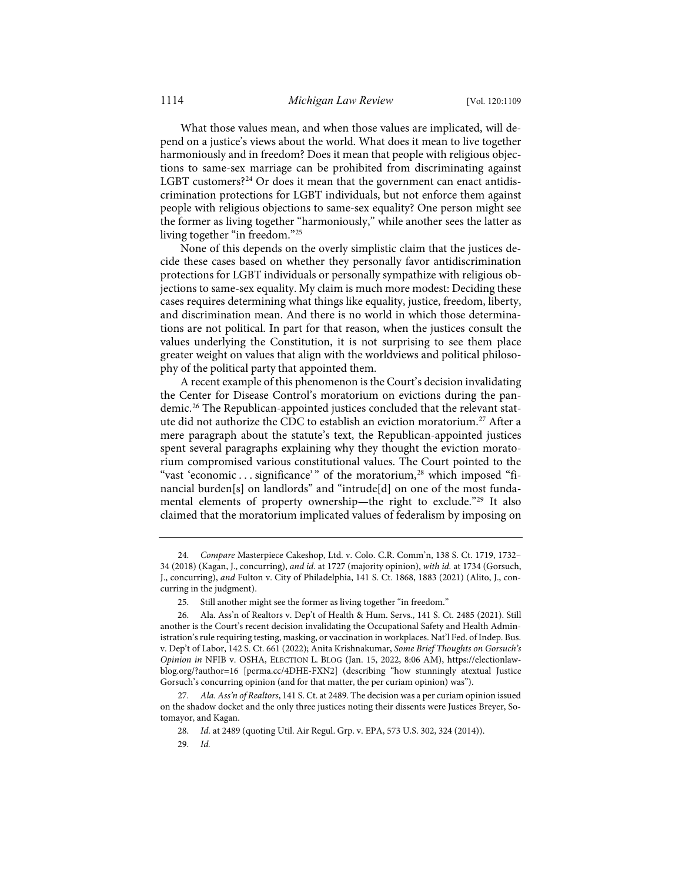What those values mean, and when those values are implicated, will depend on a justice's views about the world. What does it mean to live together harmoniously and in freedom? Does it mean that people with religious objections to same-sex marriage can be prohibited from discriminating against LGBT customers?<sup>[24](#page-6-0)</sup> Or does it mean that the government can enact antidiscrimination protections for LGBT individuals, but not enforce them against people with religious objections to same-sex equality? One person might see the former as living together "harmoniously," while another sees the latter as living together "in freedom."[25](#page-6-1)

None of this depends on the overly simplistic claim that the justices decide these cases based on whether they personally favor antidiscrimination protections for LGBT individuals or personally sympathize with religious objections to same-sex equality. My claim is much more modest: Deciding these cases requires determining what things like equality, justice, freedom, liberty, and discrimination mean. And there is no world in which those determinations are not political. In part for that reason, when the justices consult the values underlying the Constitution, it is not surprising to see them place greater weight on values that align with the worldviews and political philosophy of the political party that appointed them.

<span id="page-6-6"></span>A recent example of this phenomenon is the Court's decision invalidating the Center for Disease Control's moratorium on evictions during the pandemic.[26](#page-6-2) The Republican-appointed justices concluded that the relevant stat-ute did not authorize the CDC to establish an eviction moratorium.<sup>[27](#page-6-3)</sup> After a mere paragraph about the statute's text, the Republican-appointed justices spent several paragraphs explaining why they thought the eviction moratorium compromised various constitutional values. The Court pointed to the "vast 'economic ... significance'" of the moratorium,<sup>[28](#page-6-4)</sup> which imposed "financial burden[s] on landlords" and "intrude[d] on one of the most funda-mental elements of property ownership—the right to exclude."<sup>[29](#page-6-5)</sup> It also claimed that the moratorium implicated values of federalism by imposing on

<span id="page-6-0"></span><sup>24.</sup> *Compare* Masterpiece Cakeshop, Ltd. v. Colo. C.R. Comm'n, 138 S. Ct. 1719, 1732– 34 (2018) (Kagan, J., concurring), *and id.* at 1727 (majority opinion), *with id.* at 1734 (Gorsuch, J., concurring), *and* Fulton v. City of Philadelphia, 141 S. Ct. 1868, 1883 (2021) (Alito, J., concurring in the judgment).

<sup>25.</sup> Still another might see the former as living together "in freedom."

<span id="page-6-2"></span><span id="page-6-1"></span><sup>26.</sup> Ala. Ass'n of Realtors v. Dep't of Health & Hum. Servs., 141 S. Ct. 2485 (2021). Still another is the Court's recent decision invalidating the Occupational Safety and Health Administration's rule requiring testing, masking, or vaccination in workplaces. Nat'l Fed. of Indep. Bus. v. Dep't of Labor, 142 S. Ct. 661 (2022); Anita Krishnakumar, *Some Brief Thoughts on Gorsuch's Opinion in* NFIB v. OSHA, ELECTION L. BLOG (Jan. 15, 2022, 8:06 AM), [https://electionlaw](https://electionlawblog.org/?author=16)[blog.org/?author=16](https://electionlawblog.org/?author=16) [\[perma.cc/4DHE-FXN2\]](https://perma.cc/4DHE-FXN2) (describing "how stunningly atextual Justice Gorsuch's concurring opinion (and for that matter, the per curiam opinion) was").

<span id="page-6-5"></span><span id="page-6-4"></span><span id="page-6-3"></span><sup>27.</sup> *Ala. Ass'n of Realtors*, 141 S. Ct. at 2489. The decision was a per curiam opinion issued on the shadow docket and the only three justices noting their dissents were Justices Breyer, Sotomayor, and Kagan.

<sup>28.</sup> *Id.* at 2489 (quoting Util. Air Regul. Grp. v. EPA, 573 U.S. 302, 324 (2014)).

<sup>29.</sup> *Id.*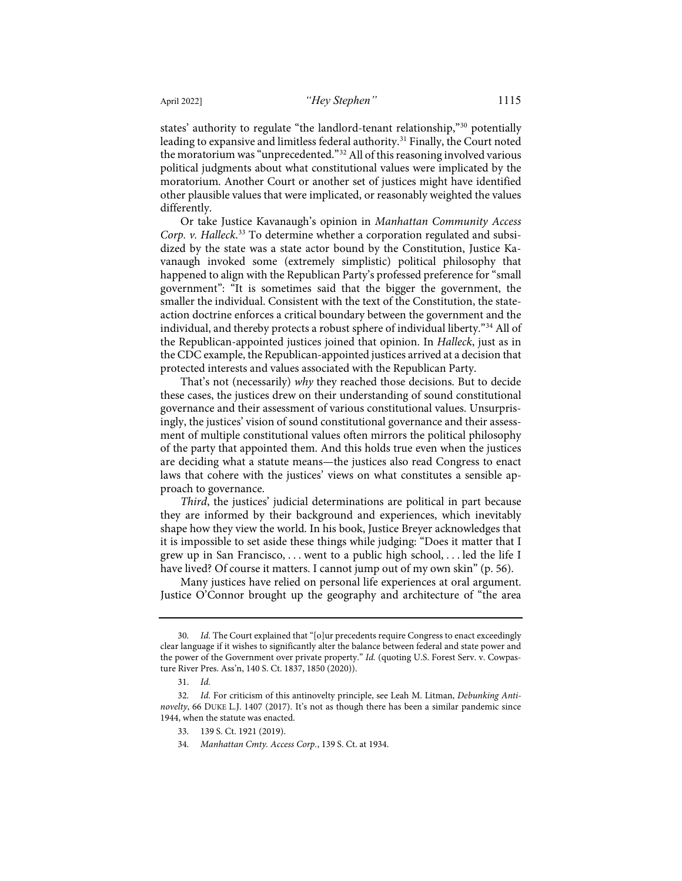<span id="page-7-5"></span>states' authority to regulate "the landlord-tenant relationship,["30](#page-7-0) potentially leading to expansive and limitless federal authority.<sup>[31](#page-7-1)</sup> Finally, the Court noted the moratorium was "unprecedented."[32](#page-7-2) All of this reasoning involved various political judgments about what constitutional values were implicated by the moratorium. Another Court or another set of justices might have identified other plausible values that were implicated, or reasonably weighted the values differently.

Or take Justice Kavanaugh's opinion in *Manhattan Community Access Corp. v. Halleck*. [33](#page-7-3) To determine whether a corporation regulated and subsidized by the state was a state actor bound by the Constitution, Justice Kavanaugh invoked some (extremely simplistic) political philosophy that happened to align with the Republican Party's professed preference for "small government": "It is sometimes said that the bigger the government, the smaller the individual. Consistent with the text of the Constitution, the stateaction doctrine enforces a critical boundary between the government and the individual, and thereby protects a robust sphere of individual liberty.["34](#page-7-4) All of the Republican-appointed justices joined that opinion. In *Halleck*, just as in the CDC example, the Republican-appointed justices arrived at a decision that protected interests and values associated with the Republican Party.

That's not (necessarily) *why* they reached those decisions. But to decide these cases, the justices drew on their understanding of sound constitutional governance and their assessment of various constitutional values. Unsurprisingly, the justices' vision of sound constitutional governance and their assessment of multiple constitutional values often mirrors the political philosophy of the party that appointed them. And this holds true even when the justices are deciding what a statute means—the justices also read Congress to enact laws that cohere with the justices' views on what constitutes a sensible approach to governance.

*Third*, the justices' judicial determinations are political in part because they are informed by their background and experiences, which inevitably shape how they view the world. In his book, Justice Breyer acknowledges that it is impossible to set aside these things while judging: "Does it matter that I grew up in San Francisco, . . . went to a public high school, . . . led the life I have lived? Of course it matters. I cannot jump out of my own skin" (p. 56).

Many justices have relied on personal life experiences at oral argument. Justice O'Connor brought up the geography and architecture of "the area

<span id="page-7-0"></span><sup>30.</sup> *Id.* The Court explained that "[o]ur precedents require Congress to enact exceedingly clear language if it wishes to significantly alter the balance between federal and state power and the power of the Government over private property." *Id.* (quoting U.S. Forest Serv. v. Cowpasture River Pres. Ass'n, 140 S. Ct. 1837, 1850 (2020)).

<sup>31.</sup> *Id.*

<span id="page-7-4"></span><span id="page-7-3"></span><span id="page-7-2"></span><span id="page-7-1"></span><sup>32.</sup> *Id.* For criticism of this antinovelty principle, see Leah M. Litman, *Debunking Antinovelty*, 66 DUKE L.J. 1407 (2017). It's not as though there has been a similar pandemic since 1944, when the statute was enacted.

<sup>33. 139</sup> S. Ct. 1921 (2019).

<sup>34.</sup> *Manhattan Cmty. Access Corp.*, 139 S. Ct. at 1934.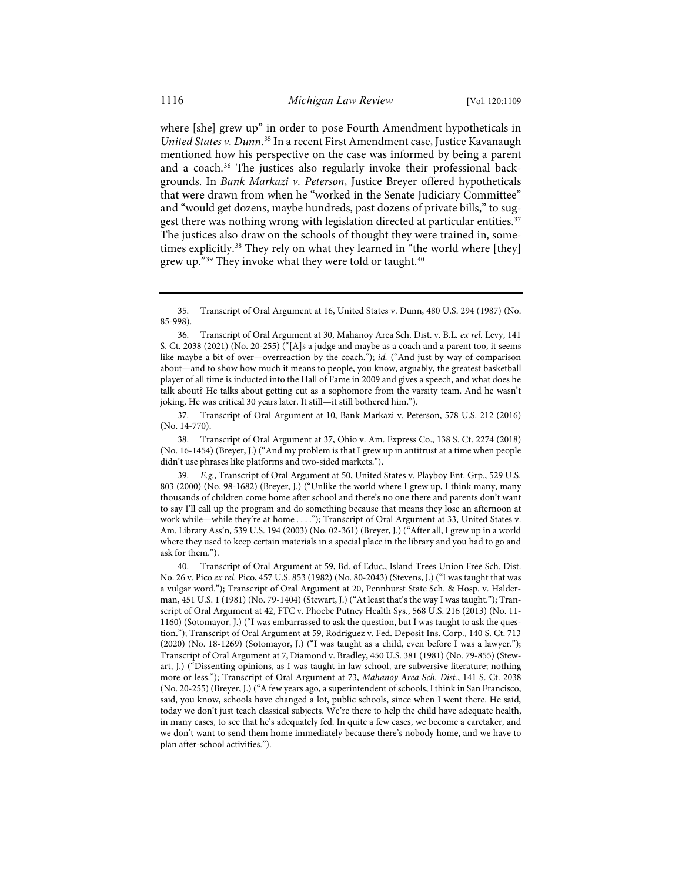where [she] grew up" in order to pose Fourth Amendment hypotheticals in *United States v. Dunn*. [35](#page-8-0) In a recent First Amendment case, Justice Kavanaugh mentioned how his perspective on the case was informed by being a parent and a coach.<sup>[36](#page-8-1)</sup> The justices also regularly invoke their professional backgrounds. In *Bank Markazi v. Peterson*, Justice Breyer offered hypotheticals that were drawn from when he "worked in the Senate Judiciary Committee" and "would get dozens, maybe hundreds, past dozens of private bills," to sug-gest there was nothing wrong with legislation directed at particular entities.<sup>[37](#page-8-2)</sup> The justices also draw on the schools of thought they were trained in, sometimes explicitly.[38](#page-8-3) They rely on what they learned in "the world where [they] grew up."[39](#page-8-4) They invoke what they were told or taught.[40](#page-8-5)

<span id="page-8-1"></span>36. Transcript of Oral Argument at 30, Mahanoy Area Sch. Dist. v. B.L. *ex rel.* Levy, 141 S. Ct. 2038 (2021) (No. 20-255) ("[A]s a judge and maybe as a coach and a parent too, it seems like maybe a bit of over—overreaction by the coach."); *id.* ("And just by way of comparison about—and to show how much it means to people, you know, arguably, the greatest basketball player of all time is inducted into the Hall of Fame in 2009 and gives a speech, and what does he talk about? He talks about getting cut as a sophomore from the varsity team. And he wasn't joking. He was critical 30 years later. It still—it still bothered him.").

<span id="page-8-2"></span>37. Transcript of Oral Argument at 10, Bank Markazi v. Peterson, 578 U.S. 212 (2016) (No. 14-770).

<span id="page-8-3"></span>38. Transcript of Oral Argument at 37, Ohio v. Am. Express Co., 138 S. Ct. 2274 (2018) (No. 16-1454) (Breyer, J.) ("And my problem is that I grew up in antitrust at a time when people didn't use phrases like platforms and two-sided markets.").

<span id="page-8-4"></span>39. *E.g.*, Transcript of Oral Argument at 50, United States v. Playboy Ent. Grp., 529 U.S. 803 (2000) (No. 98-1682) (Breyer, J.) ("Unlike the world where I grew up, I think many, many thousands of children come home after school and there's no one there and parents don't want to say I'll call up the program and do something because that means they lose an afternoon at work while—while they're at home . . . ."); Transcript of Oral Argument at 33, United States v. Am. Library Ass'n, 539 U.S. 194 (2003) (No. 02-361) (Breyer, J.) ("After all, I grew up in a world where they used to keep certain materials in a special place in the library and you had to go and ask for them.").

<span id="page-8-5"></span>40. Transcript of Oral Argument at 59, Bd. of Educ., Island Trees Union Free Sch. Dist. No. 26 v. Pico *ex rel.* Pico, 457 U.S. 853 (1982) (No. 80-2043) (Stevens, J.) ("I was taught that was a vulgar word."); Transcript of Oral Argument at 20, Pennhurst State Sch. & Hosp. v. Halderman, 451 U.S. 1 (1981) (No. 79-1404) (Stewart, J.) ("At least that's the way I was taught."); Transcript of Oral Argument at 42, FTC v. Phoebe Putney Health Sys., 568 U.S. 216 (2013) (No. 11- 1160) (Sotomayor, J.) ("I was embarrassed to ask the question, but I was taught to ask the question."); Transcript of Oral Argument at 59, Rodriguez v. Fed. Deposit Ins. Corp., 140 S. Ct. 713 (2020) (No. 18-1269) (Sotomayor, J.) ("I was taught as a child, even before I was a lawyer."); Transcript of Oral Argument at 7, Diamond v. Bradley, 450 U.S. 381 (1981) (No. 79-855) (Stewart, J.) ("Dissenting opinions, as I was taught in law school, are subversive literature; nothing more or less."); Transcript of Oral Argument at 73, *Mahanoy Area Sch. Dist.*, 141 S. Ct. 2038 (No. 20-255) (Breyer, J.) ("A few years ago, a superintendent of schools, I think in San Francisco, said, you know, schools have changed a lot, public schools, since when I went there. He said, today we don't just teach classical subjects. We're there to help the child have adequate health, in many cases, to see that he's adequately fed. In quite a few cases, we become a caretaker, and we don't want to send them home immediately because there's nobody home, and we have to plan after-school activities.").

<span id="page-8-0"></span><sup>35.</sup> Transcript of Oral Argument at 16, United States v. Dunn, 480 U.S. 294 (1987) (No. 85-998).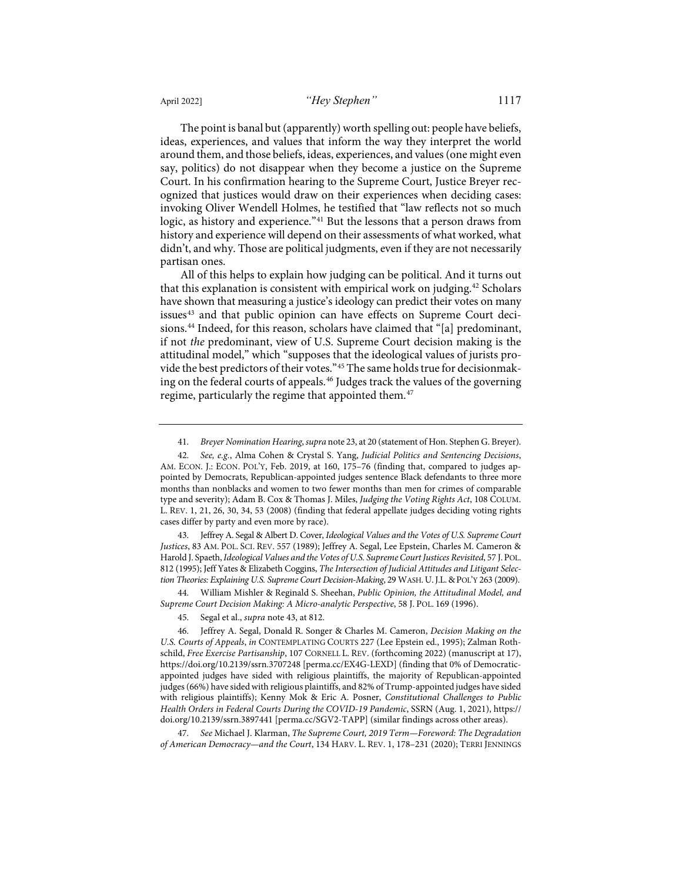The point is banal but (apparently) worth spelling out: people have beliefs, ideas, experiences, and values that inform the way they interpret the world around them, and those beliefs, ideas, experiences, and values (one might even say, politics) do not disappear when they become a justice on the Supreme Court. In his confirmation hearing to the Supreme Court, Justice Breyer recognized that justices would draw on their experiences when deciding cases: invoking Oliver Wendell Holmes, he testified that "law reflects not so much logic, as history and experience."[41](#page-9-1) But the lessons that a person draws from history and experience will depend on their assessments of what worked, what didn't, and why. Those are political judgments, even if they are not necessarily partisan ones.

<span id="page-9-0"></span>All of this helps to explain how judging can be political. And it turns out that this explanation is consistent with empirical work on judging.<sup>[42](#page-9-2)</sup> Scholars have shown that measuring a justice's ideology can predict their votes on many issues<sup>[43](#page-9-3)</sup> and that public opinion can have effects on Supreme Court decisions.<sup>44</sup> Indeed, for this reason, scholars have claimed that "[a] predominant, if not *the* predominant, view of U.S. Supreme Court decision making is the attitudinal model," which "supposes that the ideological values of jurists provide the best predictors of their votes."[45](#page-9-5) The same holds true for decisionmak-ing on the federal courts of appeals.<sup>[46](#page-9-6)</sup> Judges track the values of the governing regime, particularly the regime that appointed them.<sup>[47](#page-9-7)</sup>

<span id="page-9-3"></span>43. Jeffrey A. Segal & Albert D. Cover, *Ideological Values and the Votes of U.S. Supreme Court Justices*, 83 AM. POL. SCI. REV. 557 (1989); Jeffrey A. Segal, Lee Epstein, Charles M. Cameron & Harold J. Spaeth, *Ideological Values and the Votes of U.S. Supreme Court Justices Revisited*, 57 J.POL. 812 (1995); Jeff Yates & Elizabeth Coggins, *The Intersection of Judicial Attitudes and Litigant Selection Theories: Explaining U.S. Supreme Court Decision-Making*, 29 WASH. U.J.L.&POL'Y 263 (2009).

<span id="page-9-4"></span>44. William Mishler & Reginald S. Sheehan, *Public Opinion, the Attitudinal Model, and Supreme Court Decision Making: A Micro-analytic Perspective*, 58 J. POL. 169 (1996).

<span id="page-9-7"></span>47. *See* Michael J. Klarman, *The Supreme Court, 2019 Term—Foreword: The Degradation of American Democracy—and the Court*, 134 HARV. L. REV. 1, 178–231 (2020); TERRI JENNINGS

<span id="page-9-8"></span><sup>41.</sup> *Breyer Nomination Hearing*, *supra* not[e 23,](#page-5-8) at 20 (statement of Hon. Stephen G. Breyer).

<span id="page-9-2"></span><span id="page-9-1"></span><sup>42.</sup> *See, e.g.*, Alma Cohen & Crystal S. Yang, *Judicial Politics and Sentencing Decisions*, AM. ECON. J.: ECON. POL'Y, Feb. 2019, at 160, 175-76 (finding that, compared to judges appointed by Democrats, Republican-appointed judges sentence Black defendants to three more months than nonblacks and women to two fewer months than men for crimes of comparable type and severity); Adam B. Cox & Thomas J. Miles, *Judging the Voting Rights Act*, 108 COLUM. L. REV. 1, 21, 26, 30, 34, 53 (2008) (finding that federal appellate judges deciding voting rights cases differ by party and even more by race).

<sup>45.</sup> Segal et al., *supra* not[e 43,](#page-9-0) at 812.

<span id="page-9-6"></span><span id="page-9-5"></span><sup>46.</sup> Jeffrey A. Segal, Donald R. Songer & Charles M. Cameron, *Decision Making on the U.S. Courts of Appeals*, *in* CONTEMPLATING COURTS 227 (Lee Epstein ed., 1995); Zalman Rothschild, *Free Exercise Partisanship*, 107 CORNELL L. REV. (forthcoming 2022) (manuscript at 17), <https://doi.org/10.2139/ssrn.3707248>[\[perma.cc/EX4G-LEXD\]](https://perma.cc/EX4G-LEXD) (finding that 0% of Democraticappointed judges have sided with religious plaintiffs, the majority of Republican-appointed judges (66%) have sided with religious plaintiffs, and 82% of Trump-appointed judges have sided with religious plaintiffs); Kenny Mok & Eric A. Posner, *Constitutional Challenges to Public Health Orders in Federal Courts During the COVID-19 Pandemic*, SSRN (Aug. 1, 2021)[, https://](https://doi.org/10.2139/ssrn.3897441) [doi.org/10.2139/ssrn.3897441](https://doi.org/10.2139/ssrn.3897441) [\[perma.cc/SGV2-TAPP\]](https://perma.cc/SGV2-TAPP) (similar findings across other areas).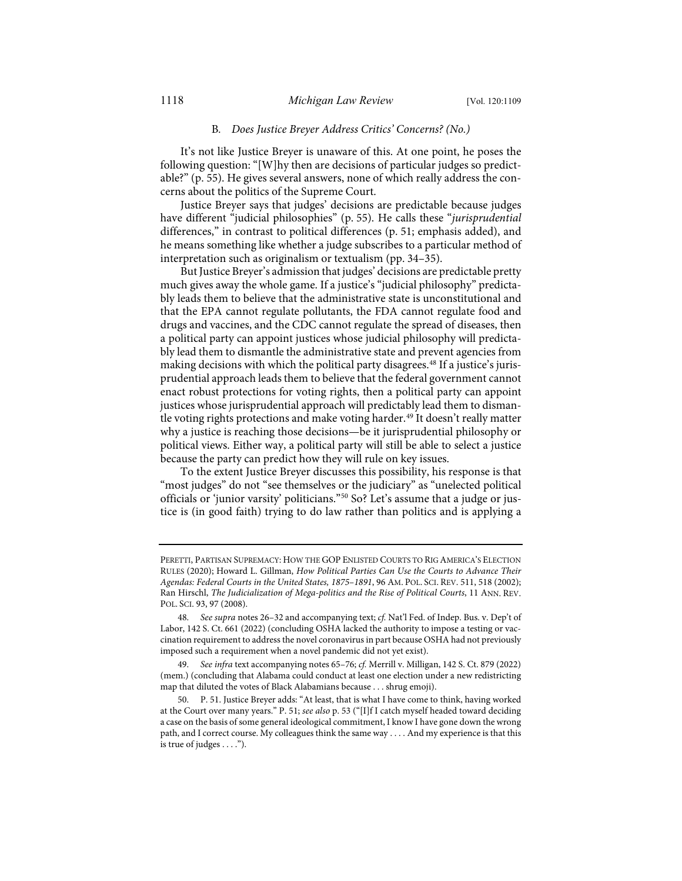#### B*. Does Justice Breyer Address Critics' Concerns? (No.)*

It's not like Justice Breyer is unaware of this. At one point, he poses the following question: "[W]hy then are decisions of particular judges so predictable?" (p. 55). He gives several answers, none of which really address the concerns about the politics of the Supreme Court.

Justice Breyer says that judges' decisions are predictable because judges have different "judicial philosophies" (p. 55). He calls these "*jurisprudential* differences," in contrast to political differences (p. 51; emphasis added), and he means something like whether a judge subscribes to a particular method of interpretation such as originalism or textualism (pp. 34–35).

But Justice Breyer's admission that judges' decisions are predictable pretty much gives away the whole game. If a justice's "judicial philosophy" predictably leads them to believe that the administrative state is unconstitutional and that the EPA cannot regulate pollutants, the FDA cannot regulate food and drugs and vaccines, and the CDC cannot regulate the spread of diseases, then a political party can appoint justices whose judicial philosophy will predictably lead them to dismantle the administrative state and prevent agencies from making decisions with which the political party disagrees.<sup>[48](#page-10-0)</sup> If a justice's jurisprudential approach leads them to believe that the federal government cannot enact robust protections for voting rights, then a political party can appoint justices whose jurisprudential approach will predictably lead them to disman-tle voting rights protections and make voting harder.<sup>[49](#page-10-1)</sup> It doesn't really matter why a justice is reaching those decisions—be it jurisprudential philosophy or political views. Either way, a political party will still be able to select a justice because the party can predict how they will rule on key issues.

To the extent Justice Breyer discusses this possibility, his response is that "most judges" do not "see themselves or the judiciary" as "unelected political officials or 'junior varsity' politicians."[50](#page-10-2) So? Let's assume that a judge or justice is (in good faith) trying to do law rather than politics and is applying a

PERETTI, PARTISAN SUPREMACY: HOW THE GOP ENLISTED COURTS TO RIG AMERICA'S ELECTION RULES (2020); Howard L. Gillman, *How Political Parties Can Use the Courts to Advance Their Agendas: Federal Courts in the United States, 1875–1891*, 96 AM. POL. SCI. REV. 511, 518 (2002); Ran Hirschl, *The Judicialization of Mega-politics and the Rise of Political Courts*, 11 ANN. REV. POL. SCI. 93, 97 (2008).

<span id="page-10-0"></span><sup>48.</sup> *See supra* note[s 26](#page-6-6)[–32](#page-7-5) and accompanying text; *cf.* Nat'l Fed. of Indep. Bus. v. Dep't of Labor, 142 S. Ct. 661 (2022) (concluding OSHA lacked the authority to impose a testing or vaccination requirement to address the novel coronavirus in part because OSHA had not previously imposed such a requirement when a novel pandemic did not yet exist).

<span id="page-10-1"></span><sup>49.</sup> *See infra* text accompanying note[s 65–](#page-13-0)[76;](#page-15-0) *cf.* Merrill v. Milligan, 142 S. Ct. 879 (2022) (mem.) (concluding that Alabama could conduct at least one election under a new redistricting map that diluted the votes of Black Alabamians because . . . shrug emoji).

<span id="page-10-2"></span><sup>50.</sup> P. 51. Justice Breyer adds: "At least, that is what I have come to think, having worked at the Court over many years." P. 51; *see also* p. 53 ("[I]f I catch myself headed toward deciding a case on the basis of some general ideological commitment, I know I have gone down the wrong path, and I correct course. My colleagues think the same way . . . . And my experience is that this is true of judges . . . .").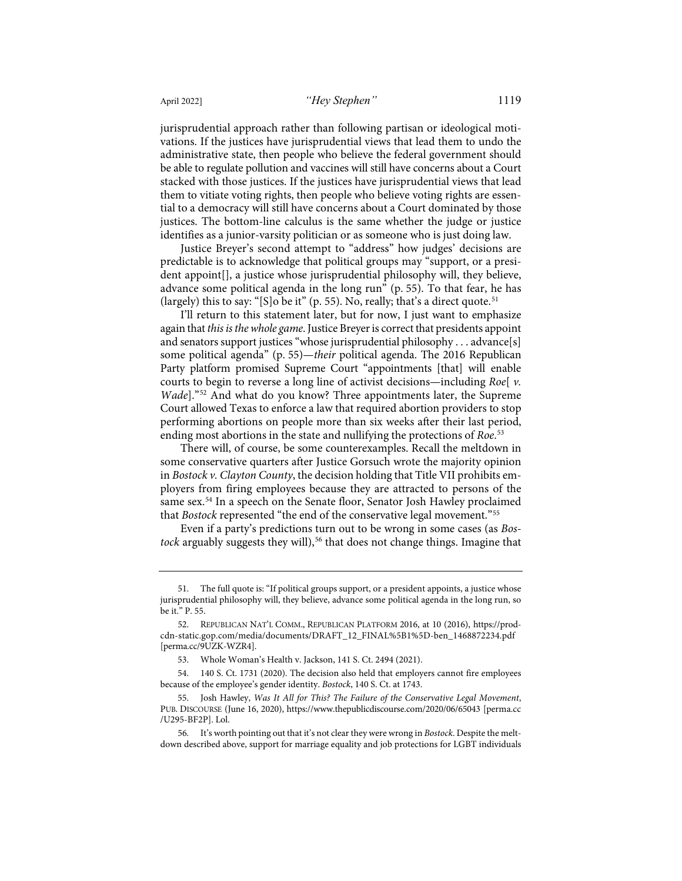jurisprudential approach rather than following partisan or ideological motivations. If the justices have jurisprudential views that lead them to undo the administrative state, then people who believe the federal government should be able to regulate pollution and vaccines will still have concerns about a Court stacked with those justices. If the justices have jurisprudential views that lead them to vitiate voting rights, then people who believe voting rights are essential to a democracy will still have concerns about a Court dominated by those justices. The bottom-line calculus is the same whether the judge or justice identifies as a junior-varsity politician or as someone who is just doing law.

Justice Breyer's second attempt to "address" how judges' decisions are predictable is to acknowledge that political groups may "support, or a president appoint[], a justice whose jurisprudential philosophy will, they believe, advance some political agenda in the long run" (p. 55). To that fear, he has (largely) this to say: "[S]o be it" (p. 55). No, really; that's a direct quote.<sup>[51](#page-11-0)</sup>

I'll return to this statement later, but for now, I just want to emphasize again that *this is the whole game*. Justice Breyer is correct that presidents appoint and senators support justices "whose jurisprudential philosophy . . . advance[s] some political agenda" (p. 55)—*their* political agenda. The 2016 Republican Party platform promised Supreme Court "appointments [that] will enable courts to begin to reverse a long line of activist decisions—including *Roe*[ *v. Wade*]."[52](#page-11-1) And what do you know? Three appointments later, the Supreme Court allowed Texas to enforce a law that required abortion providers to stop performing abortions on people more than six weeks after their last period, ending most abortions in the state and nullifying the protections of *Roe*. [53](#page-11-2)

There will, of course, be some counterexamples. Recall the meltdown in some conservative quarters after Justice Gorsuch wrote the majority opinion in *Bostock v. Clayton County*, the decision holding that Title VII prohibits employers from firing employees because they are attracted to persons of the same sex.<sup>54</sup> In a speech on the Senate floor, Senator Josh Hawley proclaimed that *Bostock* represented "the end of the conservative legal movement."[55](#page-11-4)

Even if a party's predictions turn out to be wrong in some cases (as *Bos-*tock arguably suggests they will),<sup>[56](#page-11-5)</sup> that does not change things. Imagine that

<span id="page-11-0"></span><sup>51.</sup> The full quote is: "If political groups support, or a president appoints, a justice whose jurisprudential philosophy will, they believe, advance some political agenda in the long run, so be it." P. 55.

<span id="page-11-1"></span><sup>52.</sup> REPUBLICAN NAT'L COMM., REPUBLICAN PLATFORM 2016, at 10 (2016), [https://prod](https://prod-cdn-static.gop.com/media/documents/DRAFT_12_FINAL%5B1%5D-ben_1468872234.pdf)[cdn-static.gop.com/media/documents/DRAFT\\_12\\_FINAL%5B1%5D-ben\\_1468872234.pdf](https://prod-cdn-static.gop.com/media/documents/DRAFT_12_FINAL%5B1%5D-ben_1468872234.pdf) [\[perma.cc/9UZK-WZR4\]](https://perma.cc/9UZK-WZR4).

<sup>53.</sup> Whole Woman's Health v. Jackson, 141 S. Ct. 2494 (2021).

<span id="page-11-3"></span><span id="page-11-2"></span><sup>54. 140</sup> S. Ct. 1731 (2020). The decision also held that employers cannot fire employees because of the employee's gender identity. *Bostock*, 140 S. Ct. at 1743.

<span id="page-11-4"></span><sup>55.</sup> Josh Hawley, *Was It All for This? The Failure of the Conservative Legal Movement*, PUB. DISCOURSE (June 16, 2020)[, https://www.thepublicdiscourse.com/2020/06/65043](https://www.thepublicdiscourse.com/2020/06/65043/) [\[perma.cc](https://perma.cc/U295-BF2P) [/U295-BF2P\]](https://perma.cc/U295-BF2P). Lol.

<span id="page-11-5"></span><sup>56.</sup> It's worth pointing out that it's not clear they were wrong in *Bostock*. Despite the meltdown described above, support for marriage equality and job protections for LGBT individuals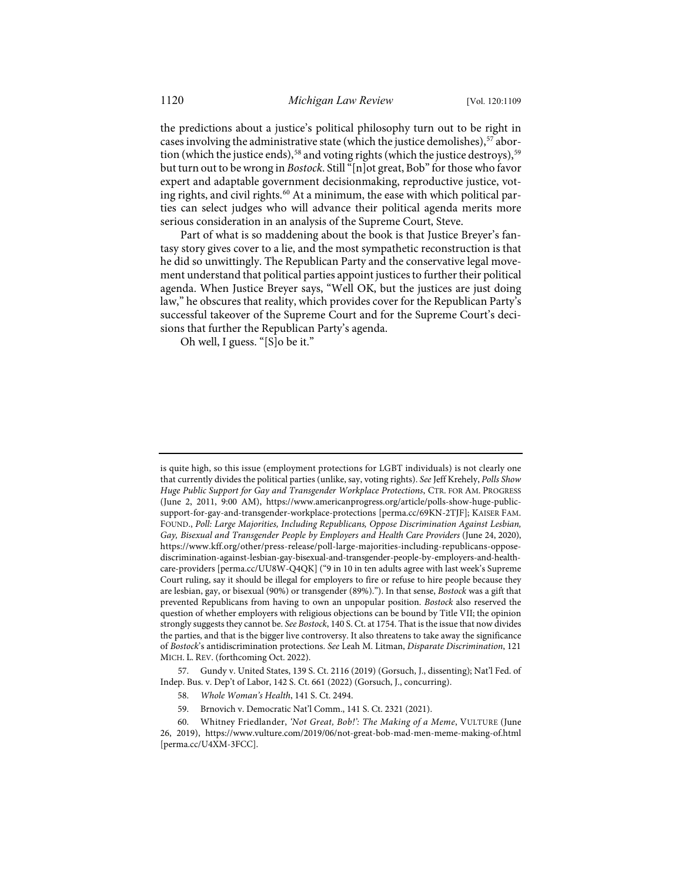the predictions about a justice's political philosophy turn out to be right in cases involving the administrative state (which the justice demolishes), <sup>[57](#page-12-0)</sup> abor-tion (which the justice ends),<sup>[58](#page-12-1)</sup> and voting rights (which the justice destroys),<sup>[59](#page-12-2)</sup> but turn out to be wrong in *Bostock*. Still "[n]ot great, Bob" for those who favor expert and adaptable government decisionmaking, reproductive justice, vot-ing rights, and civil rights.<sup>[60](#page-12-3)</sup> At a minimum, the ease with which political parties can select judges who will advance their political agenda merits more serious consideration in an analysis of the Supreme Court, Steve.

Part of what is so maddening about the book is that Justice Breyer's fantasy story gives cover to a lie, and the most sympathetic reconstruction is that he did so unwittingly. The Republican Party and the conservative legal movement understand that political parties appoint justices to further their political agenda. When Justice Breyer says, "Well OK, but the justices are just doing law," he obscures that reality, which provides cover for the Republican Party's successful takeover of the Supreme Court and for the Supreme Court's decisions that further the Republican Party's agenda.

Oh well, I guess. "[S]o be it."

is quite high, so this issue (employment protections for LGBT individuals) is not clearly one that currently divides the political parties (unlike, say, voting rights). *See* Jeff Krehely, *Polls Show Huge Public Support for Gay and Transgender Workplace Protections*, CTR. FOR AM. PROGRESS (June 2, 2011, 9:00 AM), [https://www.americanprogress.org/article/polls-show-huge-public](https://www.americanprogress.org/article/polls-show-huge-public-support-for-gay-and-transgender-workplace-protections/)[support-for-gay-and-transgender-workplace-protections](https://www.americanprogress.org/article/polls-show-huge-public-support-for-gay-and-transgender-workplace-protections/) [\[perma.cc/69KN-2TJF\]](https://perma.cc/69KN-2TJF); KAISER FAM. FOUND., *Poll: Large Majorities, Including Republicans, Oppose Discrimination Against Lesbian, Gay, Bisexual and Transgender People by Employers and Health Care Providers* (June 24, 2020), [https://www.kff.org/other/press-release/poll-large-majorities-including-republicans-oppose](https://www.kff.org/other/press-release/poll-large-majorities-including-republicans-oppose-discrimination-against-lesbian-gay-bisexual-and-transgender-people-by-employers-and-health-care-providers)[discrimination-against-lesbian-gay-bisexual-and-transgender-people-by-employers-and-health](https://www.kff.org/other/press-release/poll-large-majorities-including-republicans-oppose-discrimination-against-lesbian-gay-bisexual-and-transgender-people-by-employers-and-health-care-providers)[care-providers](https://www.kff.org/other/press-release/poll-large-majorities-including-republicans-oppose-discrimination-against-lesbian-gay-bisexual-and-transgender-people-by-employers-and-health-care-providers) [\[perma.cc/UU8W-Q4QK\]](https://perma.cc/UU8W-Q4QK) ("9 in 10 in ten adults agree with last week's Supreme Court ruling, say it should be illegal for employers to fire or refuse to hire people because they are lesbian, gay, or bisexual (90%) or transgender (89%)."). In that sense, *Bostock* was a gift that prevented Republicans from having to own an unpopular position. *Bostock* also reserved the question of whether employers with religious objections can be bound by Title VII; the opinion strongly suggests they cannot be. *See Bostock*, 140 S. Ct. at 1754. That is the issue that now divides the parties, and that is the bigger live controversy. It also threatens to take away the significance of *Bostock*'s antidiscrimination protections. *See* Leah M. Litman, *Disparate Discrimination*, 121 MICH. L. REV. (forthcoming Oct. 2022).

<span id="page-12-1"></span><span id="page-12-0"></span><sup>57.</sup> Gundy v. United States, 139 S. Ct. 2116 (2019) (Gorsuch, J., dissenting); Nat'l Fed. of Indep. Bus. v. Dep't of Labor, 142 S. Ct. 661 (2022) (Gorsuch, J., concurring).

<sup>58.</sup> *Whole Woman's Health*, 141 S. Ct. 2494.

<sup>59.</sup> Brnovich v. Democratic Nat'l Comm., 141 S. Ct. 2321 (2021).

<span id="page-12-3"></span><span id="page-12-2"></span><sup>60.</sup> Whitney Friedlander, *'Not Great, Bob!': The Making of a Meme*, VULTURE (June 26, 2019), <https://www.vulture.com/2019/06/not-great-bob-mad-men-meme-making-of.html> [\[perma.cc/U4XM-3FCC\]](https://perma.cc/U4XM-3FCC).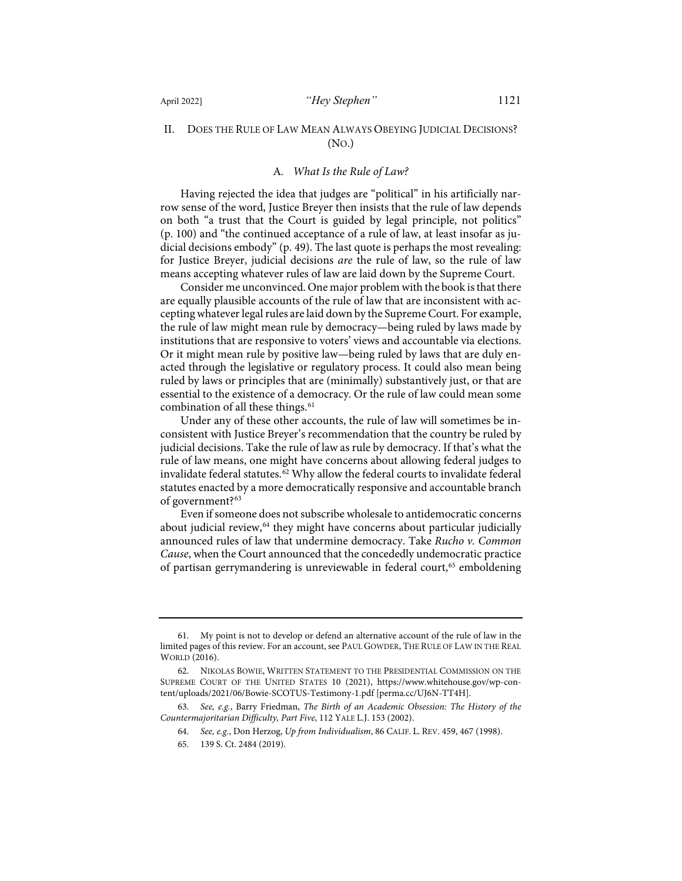#### II. DOES THE RULE OF LAW MEAN ALWAYS OBEYING JUDICIAL DECISIONS? (NO.)

#### A*. What Is the Rule of Law?*

Having rejected the idea that judges are "political" in his artificially narrow sense of the word, Justice Breyer then insists that the rule of law depends on both "a trust that the Court is guided by legal principle, not politics" (p. 100) and "the continued acceptance of a rule of law, at least insofar as judicial decisions embody" (p. 49). The last quote is perhaps the most revealing: for Justice Breyer, judicial decisions *are* the rule of law, so the rule of law means accepting whatever rules of law are laid down by the Supreme Court.

Consider me unconvinced. One major problem with the book is that there are equally plausible accounts of the rule of law that are inconsistent with accepting whatever legal rules are laid down by the Supreme Court. For example, the rule of law might mean rule by democracy—being ruled by laws made by institutions that are responsive to voters' views and accountable via elections. Or it might mean rule by positive law—being ruled by laws that are duly enacted through the legislative or regulatory process. It could also mean being ruled by laws or principles that are (minimally) substantively just, or that are essential to the existence of a democracy. Or the rule of law could mean some combination of all these things.<sup>[61](#page-13-1)</sup>

Under any of these other accounts, the rule of law will sometimes be inconsistent with Justice Breyer's recommendation that the country be ruled by judicial decisions. Take the rule of law as rule by democracy. If that's what the rule of law means, one might have concerns about allowing federal judges to invalidate federal statutes. $62$  Why allow the federal courts to invalidate federal statutes enacted by a more democratically responsive and accountable branch of government?<sup>[63](#page-13-3)</sup>

<span id="page-13-7"></span><span id="page-13-6"></span><span id="page-13-0"></span>Even if someone does not subscribe wholesale to antidemocratic concerns about judicial review, <sup>[64](#page-13-4)</sup> they might have concerns about particular judicially announced rules of law that undermine democracy. Take *Rucho v. Common Cause*, when the Court announced that the concededly undemocratic practice of partisan gerrymandering is unreviewable in federal court,<sup>[65](#page-13-5)</sup> emboldening

<span id="page-13-1"></span><sup>61.</sup> My point is not to develop or defend an alternative account of the rule of law in the limited pages of this review. For an account, see PAUL GOWDER, THE RULE OF LAW IN THE REAL WORLD (2016).

<span id="page-13-2"></span><sup>62.</sup> NIKOLAS BOWIE, WRITTEN STATEMENT TO THE PRESIDENTIAL COMMISSION ON THE SUPREME COURT OF THE UNITED STATES 10 (2021), [https://www.whitehouse.gov/wp-con](https://www.whitehouse.gov/wp-content/uploads/2021/06/Bowie-SCOTUS-Testimony-1.pdf)[tent/uploads/2021/06/Bowie-SCOTUS-Testimony-1.pdf](https://www.whitehouse.gov/wp-content/uploads/2021/06/Bowie-SCOTUS-Testimony-1.pdf) [\[perma.cc/UJ6N-TT4H\]](https://perma.cc/UJ6N-TT4H).

<span id="page-13-5"></span><span id="page-13-4"></span><span id="page-13-3"></span><sup>63.</sup> *See, e.g.*, Barry Friedman, *The Birth of an Academic Obsession: The History of the Countermajoritarian Difficulty, Part Five*, 112 YALE L.J. 153 (2002).

<sup>64.</sup> *See, e.g.*, Don Herzog, *Up from Individualism*, 86 CALIF. L. REV. 459, 467 (1998).

<sup>65. 139</sup> S. Ct. 2484 (2019).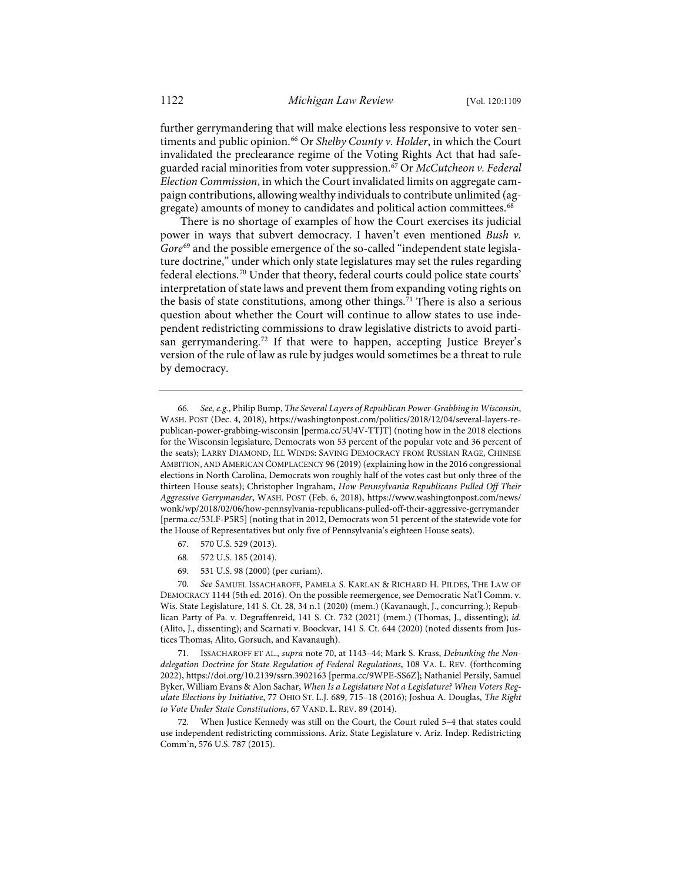<span id="page-14-8"></span>further gerrymandering that will make elections less responsive to voter sen-timents and public opinion.<sup>[66](#page-14-1)</sup> Or *Shelby County v. Holder*, in which the Court invalidated the preclearance regime of the Voting Rights Act that had safeguarded racial minorities from voter suppression.[67](#page-14-2) Or *McCutcheon v. Federal Election Commission*, in which the Court invalidated limits on aggregate campaign contributions, allowing wealthy individuals to contribute unlimited (ag-gregate) amounts of money to candidates and political action committees.<sup>[68](#page-14-3)</sup>

<span id="page-14-0"></span>There is no shortage of examples of how the Court exercises its judicial power in ways that subvert democracy. I haven't even mentioned *Bush v.*  Gore<sup>[69](#page-14-4)</sup> and the possible emergence of the so-called "independent state legislature doctrine," under which only state legislatures may set the rules regarding federal elections.[70](#page-14-5) Under that theory, federal courts could police state courts' interpretation of state laws and prevent them from expanding voting rights on the basis of state constitutions, among other things. [71](#page-14-6) There is also a serious question about whether the Court will continue to allow states to use independent redistricting commissions to draw legislative districts to avoid parti-san gerrymandering.<sup>[72](#page-14-7)</sup> If that were to happen, accepting Justice Breyer's version of the rule of law as rule by judges would sometimes be a threat to rule by democracy.

- 67. 570 U.S. 529 (2013).
- 68. 572 U.S. 185 (2014).
- 69. 531 U.S. 98 (2000) (per curiam).

<span id="page-14-5"></span><span id="page-14-4"></span><span id="page-14-3"></span><span id="page-14-2"></span>70. *See* SAMUEL ISSACHAROFF, PAMELA S. KARLAN & RICHARD H. PILDES, THE LAW OF DEMOCRACY 1144 (5th ed. 2016). On the possible reemergence, see Democratic Nat'l Comm. v. Wis. State Legislature, 141 S. Ct. 28, 34 n.1 (2020) (mem.) (Kavanaugh, J., concurring.); Republican Party of Pa. v. Degraffenreid, 141 S. Ct. 732 (2021) (mem.) (Thomas, J., dissenting); *id.* (Alito, J., dissenting); and Scarnati v. Boockvar, 141 S. Ct. 644 (2020) (noted dissents from Justices Thomas, Alito, Gorsuch, and Kavanaugh).

<span id="page-14-6"></span>71. ISSACHAROFF ET AL., *supra* note [70,](#page-14-0) at 1143–44; Mark S. Krass, *Debunking the Nondelegation Doctrine for State Regulation of Federal Regulations*, 108 VA. L. REV. (forthcoming 2022)[, https://doi.org/10.2139/ssrn.3902163](https://doi.org/10.2139/ssrn.3902163) [\[perma.cc/9WPE-SS6Z\]](https://perma.cc/9WPE-SS6Z); Nathaniel Persily, Samuel Byker, William Evans & Alon Sachar, *When Is a Legislature Not a Legislature? When Voters Regulate Elections by Initiative*, 77 OHIO ST. L.J. 689, 715–18 (2016); Joshua A. Douglas, *The Right to Vote Under State Constitutions*, 67 VAND. L. REV. 89 (2014).

<span id="page-14-7"></span>72. When Justice Kennedy was still on the Court, the Court ruled 5–4 that states could use independent redistricting commissions. Ariz. State Legislature v. Ariz. Indep. Redistricting Comm'n, 576 U.S. 787 (2015).

<span id="page-14-1"></span><sup>66.</sup> *See, e.g.*, Philip Bump, *The Several Layers of Republican Power-Grabbing in Wisconsin*, WASH. POST (Dec. 4, 2018), [https://washingtonpost.com/politics/2018/12/04/several-layers-re](https://washingtonpost.com/politics/2018/12/04/several-layers-republican-power-grabbing-wisconsin/)[publican-power-grabbing-wisconsin](https://washingtonpost.com/politics/2018/12/04/several-layers-republican-power-grabbing-wisconsin/) [\[perma.cc/5U4V-TTJT\]](https://perma.cc/5U4V-TTJT) (noting how in the 2018 elections for the Wisconsin legislature, Democrats won 53 percent of the popular vote and 36 percent of the seats); LARRY DIAMOND, ILL WINDS: SAVING DEMOCRACY FROM RUSSIAN RAGE, CHINESE AMBITION, AND AMERICAN COMPLACENCY 96 (2019) (explaining how in the 2016 congressional elections in North Carolina, Democrats won roughly half of the votes cast but only three of the thirteen House seats); Christopher Ingraham, *How Pennsylvania Republicans Pulled Off Their Aggressive Gerrymander*, WASH. POST (Feb. 6, 2018), [https://www.washingtonpost.com/news/](https://www.washingtonpost.com/news/wonk/wp/2018/02/06/how-pennsylvania-republicans-pulled-off-their-aggressive-gerrymander/) [wonk/wp/2018/02/06/how-pennsylvania-republicans-pulled-off-their-aggressive-gerrymander](https://www.washingtonpost.com/news/wonk/wp/2018/02/06/how-pennsylvania-republicans-pulled-off-their-aggressive-gerrymander/) [\[perma.cc/53LF-P5R5\]](https://perma.cc/53LF-P5R5) (noting that in 2012, Democrats won 51 percent of the statewide vote for the House of Representatives but only five of Pennsylvania's eighteen House seats).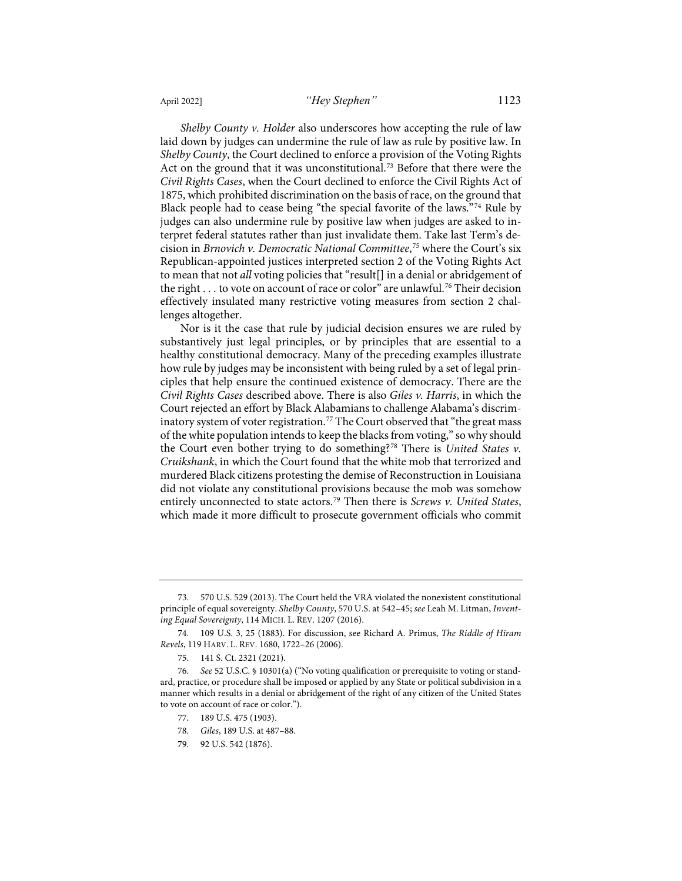<span id="page-15-8"></span>*Shelby County v. Holder* also underscores how accepting the rule of law laid down by judges can undermine the rule of law as rule by positive law. In *Shelby County*, the Court declined to enforce a provision of the Voting Rights Act on the ground that it was unconstitutional.<sup>[73](#page-15-1)</sup> Before that there were the *Civil Rights Cases*, when the Court declined to enforce the Civil Rights Act of 1875, which prohibited discrimination on the basis of race, on the ground that Black people had to cease being "the special favorite of the laws."[74](#page-15-2) Rule by judges can also undermine rule by positive law when judges are asked to interpret federal statutes rather than just invalidate them. Take last Term's decision in *Brnovich v. Democratic National Committee*, [75](#page-15-3) where the Court's six

<span id="page-15-0"></span>Republican-appointed justices interpreted section 2 of the Voting Rights Act to mean that not *all* voting policies that "result[] in a denial or abridgement of the right  $\dots$  to vote on account of race or color" are unlawful.<sup>[76](#page-15-4)</sup> Their decision effectively insulated many restrictive voting measures from section 2 challenges altogether.

Nor is it the case that rule by judicial decision ensures we are ruled by substantively just legal principles, or by principles that are essential to a healthy constitutional democracy. Many of the preceding examples illustrate how rule by judges may be inconsistent with being ruled by a set of legal principles that help ensure the continued existence of democracy. There are the *Civil Rights Cases* described above. There is also *Giles v. Harris*, in which the Court rejected an effort by Black Alabamians to challenge Alabama's discrim-inatory system of voter registration.<sup>[77](#page-15-5)</sup> The Court observed that "the great mass of the white population intends to keep the blacks from voting," so why should the Court even bother trying to do something?[78](#page-15-6) There is *United States v. Cruikshank*, in which the Court found that the white mob that terrorized and murdered Black citizens protesting the demise of Reconstruction in Louisiana did not violate any constitutional provisions because the mob was somehow entirely unconnected to state actors.[79](#page-15-7) Then there is *Screws v. United States*, which made it more difficult to prosecute government officials who commit

- 77. 189 U.S. 475 (1903).
- 78. *Giles*, 189 U.S. at 487–88.
- 79. 92 U.S. 542 (1876).

<span id="page-15-1"></span><sup>73. 570</sup> U.S. 529 (2013). The Court held the VRA violated the nonexistent constitutional principle of equal sovereignty. *Shelby County*, 570 U.S. at 542–45; *see* Leah M. Litman, *Inventing Equal Sovereignty*, 114 MICH. L. REV. 1207 (2016).

<span id="page-15-2"></span><sup>74. 109</sup> U.S. 3, 25 (1883). For discussion, see Richard A. Primus, *The Riddle of Hiram Revels*, 119 HARV. L. REV. 1680, 1722–26 (2006).

<sup>75. 141</sup> S. Ct. 2321 (2021).

<span id="page-15-7"></span><span id="page-15-6"></span><span id="page-15-5"></span><span id="page-15-4"></span><span id="page-15-3"></span><sup>76.</sup> *See* 52 U.S.C. § 10301(a) ("No voting qualification or prerequisite to voting or standard, practice, or procedure shall be imposed or applied by any State or political subdivision in a manner which results in a denial or abridgement of the right of any citizen of the United States to vote on account of race or color.").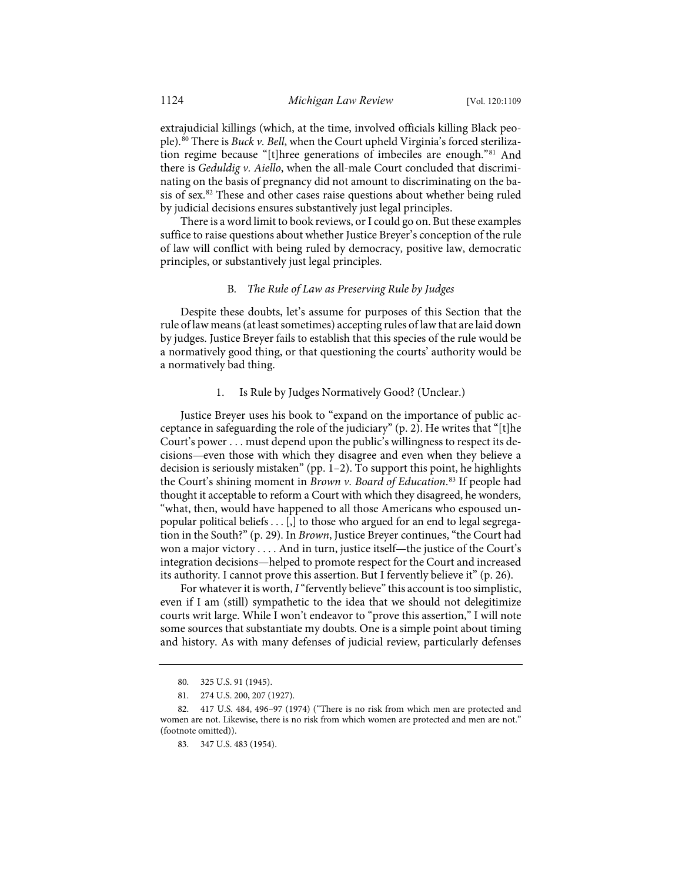extrajudicial killings (which, at the time, involved officials killing Black people).[80](#page-16-0) There is *Buck v. Bell*, when the Court upheld Virginia's forced sterilization regime because "[t]hree generations of imbeciles are enough."[81](#page-16-1) And there is *Geduldig v. Aiello*, when the all-male Court concluded that discriminating on the basis of pregnancy did not amount to discriminating on the ba-sis of sex.<sup>[82](#page-16-2)</sup> These and other cases raise questions about whether being ruled by judicial decisions ensures substantively just legal principles.

There is a word limit to book reviews, or I could go on. But these examples suffice to raise questions about whether Justice Breyer's conception of the rule of law will conflict with being ruled by democracy, positive law, democratic principles, or substantively just legal principles.

#### B*. The Rule of Law as Preserving Rule by Judges*

Despite these doubts, let's assume for purposes of this Section that the rule of law means (at least sometimes) accepting rules of law that are laid down by judges. Justice Breyer fails to establish that this species of the rule would be a normatively good thing, or that questioning the courts' authority would be a normatively bad thing.

#### 1. Is Rule by Judges Normatively Good? (Unclear.)

Justice Breyer uses his book to "expand on the importance of public acceptance in safeguarding the role of the judiciary" (p. 2). He writes that "[t]he Court's power . . . must depend upon the public's willingness to respect its decisions—even those with which they disagree and even when they believe a decision is seriously mistaken" (pp. 1–2). To support this point, he highlights the Court's shining moment in *Brown v. Board of Education*. [83](#page-16-3) If people had thought it acceptable to reform a Court with which they disagreed, he wonders, "what, then, would have happened to all those Americans who espoused unpopular political beliefs  $\dots$  [,] to those who argued for an end to legal segregation in the South?" (p. 29). In *Brown*, Justice Breyer continues, "the Court had won a major victory . . . . And in turn, justice itself—the justice of the Court's integration decisions—helped to promote respect for the Court and increased its authority. I cannot prove this assertion. But I fervently believe it" (p. 26).

For whatever it is worth, *I*"fervently believe" this account is too simplistic, even if I am (still) sympathetic to the idea that we should not delegitimize courts writ large. While I won't endeavor to "prove this assertion," I will note some sources that substantiate my doubts. One is a simple point about timing and history. As with many defenses of judicial review, particularly defenses

<sup>80. 325</sup> U.S. 91 (1945).

<sup>81. 274</sup> U.S. 200, 207 (1927).

<span id="page-16-3"></span><span id="page-16-2"></span><span id="page-16-1"></span><span id="page-16-0"></span><sup>82. 417</sup> U.S. 484, 496–97 (1974) ("There is no risk from which men are protected and women are not. Likewise, there is no risk from which women are protected and men are not." (footnote omitted)).

<sup>83. 347</sup> U.S. 483 (1954).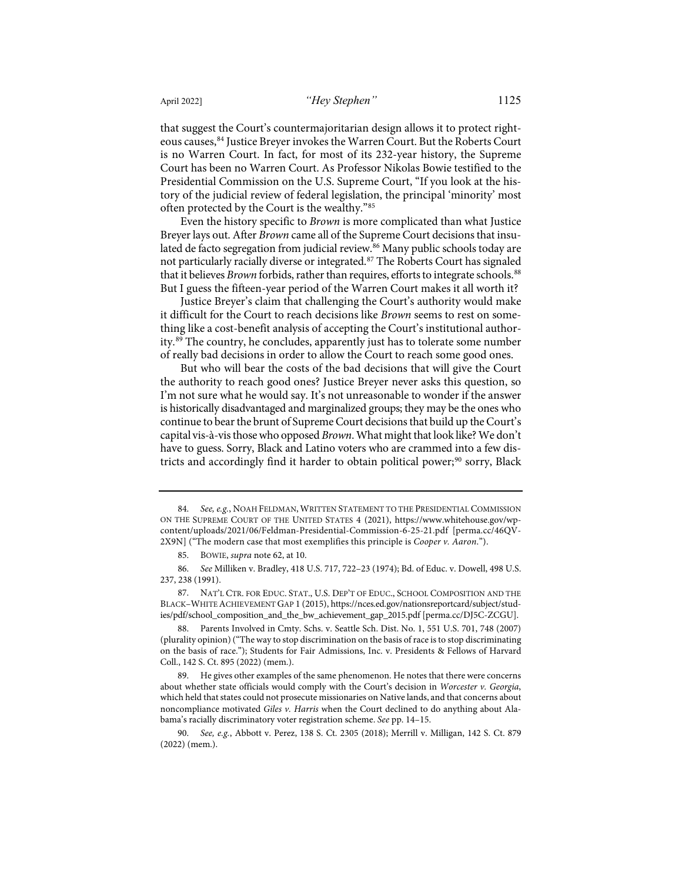that suggest the Court's countermajoritarian design allows it to protect righteous causes,[84](#page-17-0) Justice Breyer invokes the Warren Court. But the Roberts Court is no Warren Court. In fact, for most of its 232-year history, the Supreme Court has been no Warren Court. As Professor Nikolas Bowie testified to the Presidential Commission on the U.S. Supreme Court, "If you look at the history of the judicial review of federal legislation, the principal 'minority' most often protected by the Court is the wealthy."[85](#page-17-1)

Even the history specific to *Brown* is more complicated than what Justice Breyer lays out. After *Brown* came all of the Supreme Court decisions that insu-lated de facto segregation from judicial review.<sup>[86](#page-17-2)</sup> Many public schools today are not particularly racially diverse or integrated.[87](#page-17-3) The Roberts Court has signaled that it believes *Brown* forbids, rather than requires, efforts to integrate schools.<sup>[88](#page-17-4)</sup> But I guess the fifteen-year period of the Warren Court makes it all worth it?

Justice Breyer's claim that challenging the Court's authority would make it difficult for the Court to reach decisions like *Brown* seems to rest on something like a cost-benefit analysis of accepting the Court's institutional authority.[89](#page-17-5) The country, he concludes, apparently just has to tolerate some number of really bad decisions in order to allow the Court to reach some good ones.

But who will bear the costs of the bad decisions that will give the Court the authority to reach good ones? Justice Breyer never asks this question, so I'm not sure what he would say. It's not unreasonable to wonder if the answer is historically disadvantaged and marginalized groups; they may be the ones who continue to bear the brunt of Supreme Court decisions that build up the Court's capital vis-à-vis those who opposed *Brown*. What might that look like? We don't have to guess. Sorry, Black and Latino voters who are crammed into a few dis-tricts and accordingly find it harder to obtain political power;<sup>[90](#page-17-6)</sup> sorry, Black

<span id="page-17-0"></span><sup>84.</sup> *See, e.g.*, NOAH FELDMAN, WRITTEN STATEMENT TO THE PRESIDENTIAL COMMISSION ON THE SUPREME COURT OF THE UNITED STATES 4 (2021), https://www.whitehouse.gov/wpcontent/uploads/2021/06/Feldman-Presidential-Commission-6-25-21.pdf [\[perma.cc/46QV-](https://perma.cc/46QV-2X9N)[2X9N\]](https://perma.cc/46QV-2X9N) ("The modern case that most exemplifies this principle is *Cooper v. Aaron*.").

<sup>85.</sup> BOWIE, *supra* not[e 62,](#page-13-6) at 10.

<span id="page-17-2"></span><span id="page-17-1"></span><sup>86.</sup> *See* Milliken v. Bradley, 418 U.S. 717, 722–23 (1974); Bd. of Educ. v. Dowell, 498 U.S. 237, 238 (1991).

<span id="page-17-3"></span><sup>87.</sup> NAT'L CTR. FOR EDUC. STAT., U.S. DEP'T OF EDUC., SCHOOL COMPOSITION AND THE BLACK–WHITE ACHIEVEMENT GAP 1 (2015)[, https://nces.ed.gov/nationsreportcard/subject/stud](https://nces.ed.gov/nationsreportcard/subject/studies/pdf/school_composition_and_the_bw_achievement_gap_2015.pdf)[ies/pdf/school\\_composition\\_and\\_the\\_bw\\_achievement\\_gap\\_2015.pdf](https://nces.ed.gov/nationsreportcard/subject/studies/pdf/school_composition_and_the_bw_achievement_gap_2015.pdf) [\[perma.cc/DJ5C-ZCGU\]](https://perma.cc/DJ5C-ZCGU).

<span id="page-17-4"></span><sup>88.</sup> Parents Involved in Cmty. Schs. v. Seattle Sch. Dist. No. 1, 551 U.S. 701, 748 (2007) (plurality opinion) ("The way to stop discrimination on the basis of race is to stop discriminating on the basis of race."); Students for Fair Admissions, Inc. v. Presidents & Fellows of Harvard Coll., 142 S. Ct. 895 (2022) (mem.).

<span id="page-17-5"></span><sup>89.</sup> He gives other examples of the same phenomenon. He notes that there were concerns about whether state officials would comply with the Court's decision in *Worcester v. Georgia*, which held that states could not prosecute missionaries on Native lands, and that concerns about noncompliance motivated *Giles v. Harris* when the Court declined to do anything about Alabama's racially discriminatory voter registration scheme. *See* pp. 14–15.

<span id="page-17-6"></span><sup>90.</sup> *See, e.g.*, Abbott v. Perez, 138 S. Ct. 2305 (2018); Merrill v. Milligan, 142 S. Ct. 879 (2022) (mem.).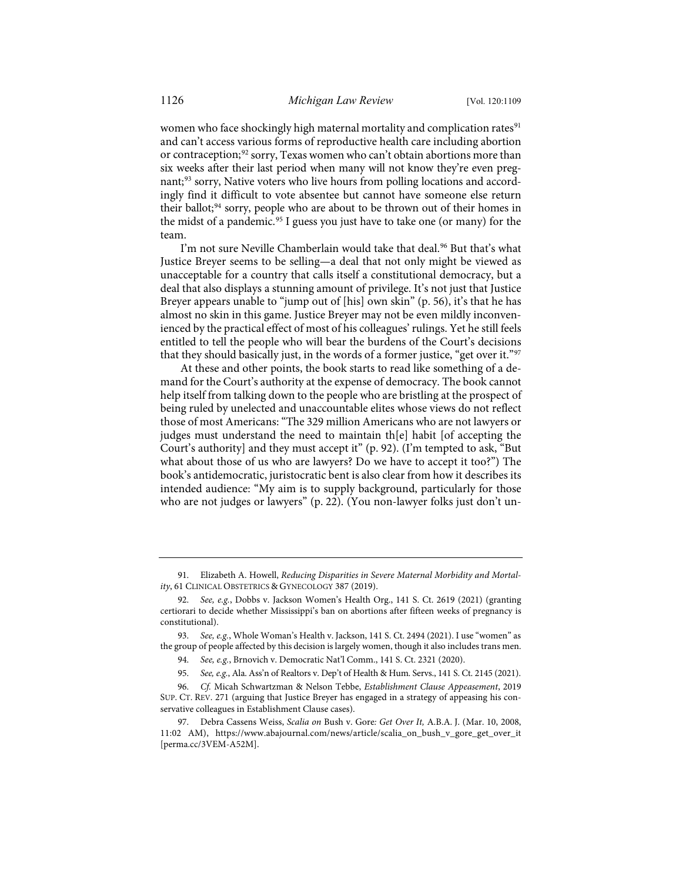women who face shockingly high maternal mortality and complication rates<sup>[91](#page-18-0)</sup> and can't access various forms of reproductive health care including abortion or contraception;<sup>[92](#page-18-1)</sup> sorry, Texas women who can't obtain abortions more than six weeks after their last period when many will not know they're even preg-nant;<sup>[93](#page-18-2)</sup> sorry, Native voters who live hours from polling locations and accordingly find it difficult to vote absentee but cannot have someone else return their ballot;<sup>94</sup> sorry, people who are about to be thrown out of their homes in the midst of a pandemic.<sup>[95](#page-18-4)</sup> I guess you just have to take one (or many) for the team.

I'm not sure Neville Chamberlain would take that deal.<sup>96</sup> But that's what Justice Breyer seems to be selling—a deal that not only might be viewed as unacceptable for a country that calls itself a constitutional democracy, but a deal that also displays a stunning amount of privilege. It's not just that Justice Breyer appears unable to "jump out of [his] own skin" (p. 56), it's that he has almost no skin in this game. Justice Breyer may not be even mildly inconvenienced by the practical effect of most of his colleagues' rulings. Yet he still feels entitled to tell the people who will bear the burdens of the Court's decisions that they should basically just, in the words of a former justice, "get over it."[97](#page-18-6)

At these and other points, the book starts to read like something of a demand for the Court's authority at the expense of democracy. The book cannot help itself from talking down to the people who are bristling at the prospect of being ruled by unelected and unaccountable elites whose views do not reflect those of most Americans: "The 329 million Americans who are not lawyers or judges must understand the need to maintain th[e] habit [of accepting the Court's authority] and they must accept it" (p. 92). (I'm tempted to ask, "But what about those of us who are lawyers? Do we have to accept it too?") The book's antidemocratic, juristocratic bent is also clear from how it describes its intended audience: "My aim is to supply background, particularly for those who are not judges or lawyers" (p. 22). (You non-lawyer folks just don't un-

<span id="page-18-0"></span>91. Elizabeth A. Howell, *Reducing Disparities in Severe Maternal Morbidity and Mortality*, 61 CLINICAL OBSTETRICS & GYNECOLOGY 387 (2019).

<span id="page-18-1"></span><sup>92.</sup> *See, e.g.*, Dobbs v. Jackson Women's Health Org., 141 S. Ct. 2619 (2021) (granting certiorari to decide whether Mississippi's ban on abortions after fifteen weeks of pregnancy is constitutional).

<span id="page-18-3"></span><span id="page-18-2"></span><sup>93.</sup> *See, e.g.*, Whole Woman's Health v. Jackson, 141 S. Ct. 2494 (2021). I use "women" as the group of people affected by this decision is largely women, though it also includes trans men.

<sup>94.</sup> *See, e.g.*, Brnovich v. Democratic Nat'l Comm., 141 S. Ct. 2321 (2020).

<sup>95.</sup> *See, e.g.*, Ala. Ass'n of Realtors v. Dep't of Health & Hum. Servs., 141 S. Ct. 2145 (2021).

<span id="page-18-5"></span><span id="page-18-4"></span><sup>96.</sup> *Cf.* Micah Schwartzman & Nelson Tebbe, *Establishment Clause Appeasement*, 2019 SUP. CT. REV. 271 (arguing that Justice Breyer has engaged in a strategy of appeasing his conservative colleagues in Establishment Clause cases).

<span id="page-18-6"></span><sup>97.</sup> Debra Cassens Weiss, *Scalia on* Bush v. Gore*: Get Over It,* A.B.A. J. (Mar. 10, 2008, 11:02 AM), https://www.abajournal.com/news/article/scalia\_on\_bush\_v\_gore\_get\_over\_it [\[perma.cc/3VEM-A52M\]](https://perma.cc/3VEM-A52M).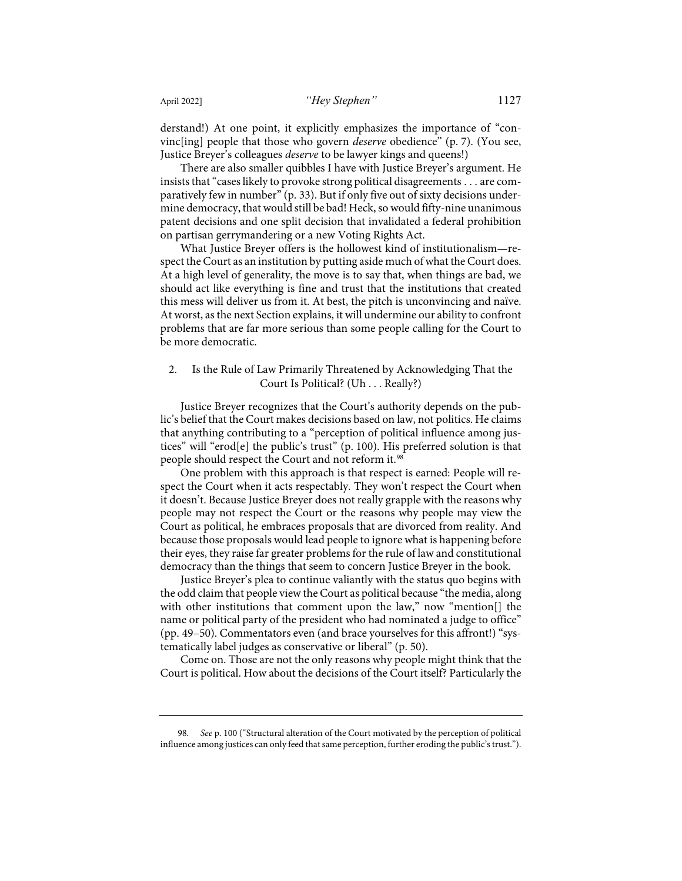derstand!) At one point, it explicitly emphasizes the importance of "convinc[ing] people that those who govern *deserve* obedience" (p. 7). (You see, Justice Breyer's colleagues *deserve* to be lawyer kings and queens!)

There are also smaller quibbles I have with Justice Breyer's argument. He insists that "cases likely to provoke strong political disagreements . . . are comparatively few in number" (p. 33). But if only five out of sixty decisions undermine democracy, that would still be bad! Heck, so would fifty-nine unanimous patent decisions and one split decision that invalidated a federal prohibition on partisan gerrymandering or a new Voting Rights Act.

What Justice Breyer offers is the hollowest kind of institutionalism—respect the Court as an institution by putting aside much of what the Court does. At a high level of generality, the move is to say that, when things are bad, we should act like everything is fine and trust that the institutions that created this mess will deliver us from it. At best, the pitch is unconvincing and naïve. At worst, as the next Section explains, it will undermine our ability to confront problems that are far more serious than some people calling for the Court to be more democratic.

### 2. Is the Rule of Law Primarily Threatened by Acknowledging That the Court Is Political? (Uh . . . Really?)

Justice Breyer recognizes that the Court's authority depends on the public's belief that the Court makes decisions based on law, not politics. He claims that anything contributing to a "perception of political influence among justices" will "erod[e] the public's trust" (p. 100). His preferred solution is that people should respect the Court and not reform it.<sup>[98](#page-19-0)</sup>

One problem with this approach is that respect is earned: People will respect the Court when it acts respectably. They won't respect the Court when it doesn't. Because Justice Breyer does not really grapple with the reasons why people may not respect the Court or the reasons why people may view the Court as political, he embraces proposals that are divorced from reality. And because those proposals would lead people to ignore what is happening before their eyes, they raise far greater problems for the rule of law and constitutional democracy than the things that seem to concern Justice Breyer in the book.

Justice Breyer's plea to continue valiantly with the status quo begins with the odd claim that people view the Court as political because "the media, along with other institutions that comment upon the law," now "mention[] the name or political party of the president who had nominated a judge to office" (pp. 49–50). Commentators even (and brace yourselves for this affront!) "systematically label judges as conservative or liberal" (p. 50).

Come on. Those are not the only reasons why people might think that the Court is political. How about the decisions of the Court itself? Particularly the

<span id="page-19-0"></span><sup>98.</sup> *See* p. 100 ("Structural alteration of the Court motivated by the perception of political influence among justices can only feed that same perception, further eroding the public's trust.").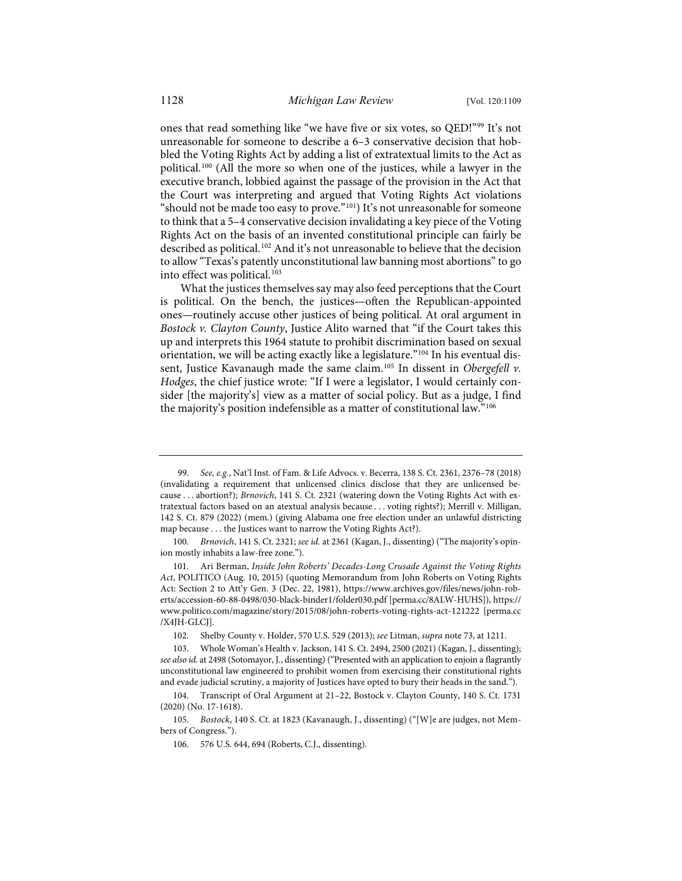ones that read something like "we have five or six votes, so QED!"[99](#page-20-0) It's not unreasonable for someone to describe a 6–3 conservative decision that hobbled the Voting Rights Act by adding a list of extratextual limits to the Act as political.[100](#page-20-1) (All the more so when one of the justices, while a lawyer in the executive branch, lobbied against the passage of the provision in the Act that the Court was interpreting and argued that Voting Rights Act violations "should not be made too easy to prove."[101\)](#page-20-2) It's not unreasonable for someone to think that a 5–4 conservative decision invalidating a key piece of the Voting Rights Act on the basis of an invented constitutional principle can fairly be described as political.<sup>[102](#page-20-3)</sup> And it's not unreasonable to believe that the decision to allow "Texas's patently unconstitutional law banning most abortions" to go into effect was political.<sup>[103](#page-20-4)</sup>

What the justices themselves say may also feed perceptions that the Court is political. On the bench, the justices—often the Republican-appointed ones—routinely accuse other justices of being political. At oral argument in *Bostock v. Clayton County*, Justice Alito warned that "if the Court takes this up and interprets this 1964 statute to prohibit discrimination based on sexual orientation, we will be acting exactly like a legislature.["104](#page-20-5) In his eventual dissent, Justice Kavanaugh made the same claim.[105](#page-20-6) In dissent in *Obergefell v. Hodges*, the chief justice wrote: "If I were a legislator, I would certainly consider [the majority's] view as a matter of social policy. But as a judge, I find the majority's position indefensible as a matter of constitutional law."[106](#page-20-7)

<span id="page-20-0"></span><sup>99.</sup> *See, e.g.*, Nat'l Inst. of Fam. & Life Advocs. v. Becerra, 138 S. Ct. 2361, 2376–78 (2018) (invalidating a requirement that unlicensed clinics disclose that they are unlicensed because . . . abortion?); *Brnovich*, 141 S. Ct. 2321 (watering down the Voting Rights Act with extratextual factors based on an atextual analysis because . . . voting rights?); Merrill v. Milligan, 142 S. Ct. 879 (2022) (mem.) (giving Alabama one free election under an unlawful districting map because . . . the Justices want to narrow the Voting Rights Act?).

<span id="page-20-1"></span><sup>100.</sup> *Brnovich*, 141 S. Ct. 2321; *see id.* at 2361 (Kagan, J., dissenting) ("The majority's opinion mostly inhabits a law-free zone.").

<span id="page-20-2"></span><sup>101.</sup> Ari Berman, *Inside John Roberts' Decades-Long Crusade Against the Voting Rights Act*, POLITICO (Aug. 10, 2015) (quoting Memorandum from John Roberts on Voting Rights Act: Section 2 to Att'y Gen. 3 (Dec. 22, 1981), [https://www.archives.gov/files/news/john-rob](https://www.archives.gov/files/news/john-roberts/accession-60-88-0498/030-black-binder1/folder030.pdf)[erts/accession-60-88-0498/030-black-binder1/folder030.pdf](https://www.archives.gov/files/news/john-roberts/accession-60-88-0498/030-black-binder1/folder030.pdf) [\[perma.cc/8ALW-HUHS\]](https://perma.cc/8ALW-HUHS)), [https://](https://www.politico.com/magazine/story/2015/08/john-roberts-voting-rights-act-121222) [www.politico.com/magazine/story/2015/08/john-roberts-voting-rights-act-121222](https://www.politico.com/magazine/story/2015/08/john-roberts-voting-rights-act-121222) [\[perma.cc](https://perma.cc/X4JH-GLCJ) [/X4JH-GLCJ\]](https://perma.cc/X4JH-GLCJ).

<sup>102.</sup> Shelby County v. Holder, 570 U.S. 529 (2013); *see* Litman, *supra* not[e 73,](#page-15-8) at 1211.

<span id="page-20-4"></span><span id="page-20-3"></span><sup>103.</sup> Whole Woman's Health v. Jackson, 141 S. Ct. 2494, 2500 (2021) (Kagan, J., dissenting); *see also id.* at 2498 (Sotomayor, J., dissenting) ("Presented with an application to enjoin a flagrantly unconstitutional law engineered to prohibit women from exercising their constitutional rights and evade judicial scrutiny, a majority of Justices have opted to bury their heads in the sand.").

<span id="page-20-5"></span><sup>104.</sup> Transcript of Oral Argument at 21–22, Bostock v. Clayton County, 140 S. Ct. 1731 (2020) (No. 17-1618).

<span id="page-20-7"></span><span id="page-20-6"></span><sup>105.</sup> *Bostock*, 140 S. Ct. at 1823 (Kavanaugh, J., dissenting) ("[W]e are judges, not Members of Congress.").

<sup>106. 576</sup> U.S. 644, 694 (Roberts, C.J., dissenting).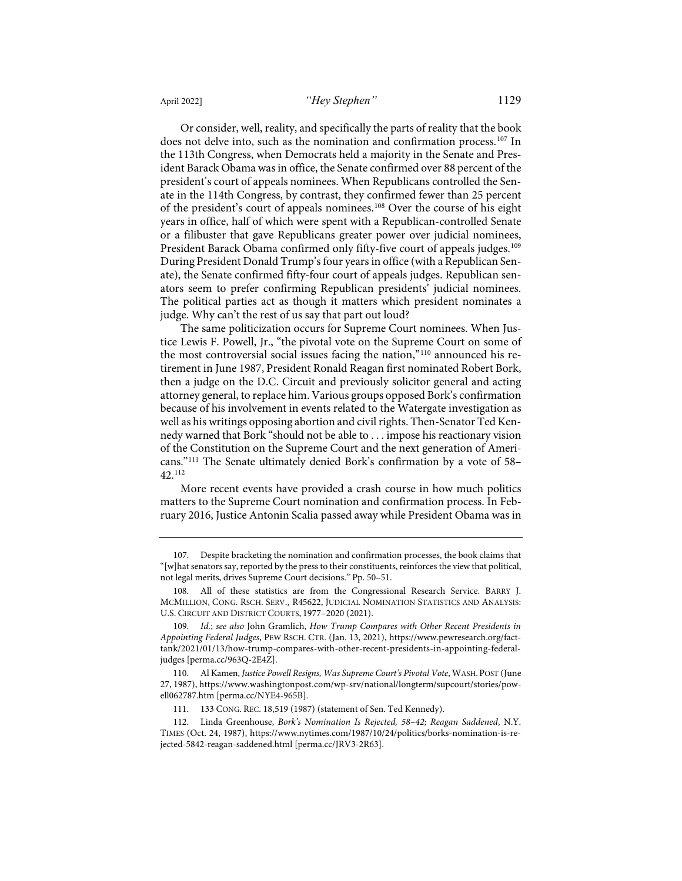Or consider, well, reality, and specifically the parts of reality that the book does not delve into, such as the nomination and confirmation process.<sup>[107](#page-21-0)</sup> In the 113th Congress, when Democrats held a majority in the Senate and President Barack Obama was in office, the Senate confirmed over 88 percent of the president's court of appeals nominees. When Republicans controlled the Senate in the 114th Congress, by contrast, they confirmed fewer than 25 percent of the president's court of appeals nominees.[108](#page-21-1) Over the course of his eight years in office, half of which were spent with a Republican-controlled Senate or a filibuster that gave Republicans greater power over judicial nominees, President Barack Obama confirmed only fifty-five court of appeals judges.<sup>[109](#page-21-2)</sup> During President Donald Trump's four years in office (with a Republican Senate), the Senate confirmed fifty-four court of appeals judges. Republican sen-

ators seem to prefer confirming Republican presidents' judicial nominees. The political parties act as though it matters which president nominates a judge. Why can't the rest of us say that part out loud? The same politicization occurs for Supreme Court nominees. When Jus-

tice Lewis F. Powell, Jr., "the pivotal vote on the Supreme Court on some of the most controversial social issues facing the nation,"[110](#page-21-3) announced his retirement in June 1987, President Ronald Reagan first nominated Robert Bork, then a judge on the D.C. Circuit and previously solicitor general and acting attorney general, to replace him. Various groups opposed Bork's confirmation because of his involvement in events related to the Watergate investigation as well as his writings opposing abortion and civil rights. Then-Senator Ted Kennedy warned that Bork "should not be able to . . . impose his reactionary vision of the Constitution on the Supreme Court and the next generation of Americans."[111](#page-21-4) The Senate ultimately denied Bork's confirmation by a vote of 58– 42. [112](#page-21-5)

More recent events have provided a crash course in how much politics matters to the Supreme Court nomination and confirmation process. In February 2016, Justice Antonin Scalia passed away while President Obama was in

<span id="page-21-0"></span><sup>107.</sup> Despite bracketing the nomination and confirmation processes, the book claims that "[w]hat senators say, reported by the press to their constituents, reinforces the view that political, not legal merits, drives Supreme Court decisions." Pp. 50–51.

<span id="page-21-1"></span><sup>108.</sup> All of these statistics are from the Congressional Research Service. BARRY J. MCMILLION, CONG. RSCH. SERV., R45622, JUDICIAL NOMINATION STATISTICS AND ANALYSIS: U.S. CIRCUIT AND DISTRICT COURTS, 1977–2020 (2021).

<span id="page-21-2"></span><sup>109.</sup> *Id.*; *see also* John Gramlich, *How Trump Compares with Other Recent Presidents in Appointing Federal Judges*, PEW RSCH. CTR. (Jan. 13, 2021)[, https://www.pewresearch.org/fact](https://www.pewresearch.org/fact-tank/2021/01/13/how-trump-compares-with-other-recent-presidents-in-appointing-federal-judges/)[tank/2021/01/13/how-trump-compares-with-other-recent-presidents-in-appointing-federal](https://www.pewresearch.org/fact-tank/2021/01/13/how-trump-compares-with-other-recent-presidents-in-appointing-federal-judges/)[judges](https://www.pewresearch.org/fact-tank/2021/01/13/how-trump-compares-with-other-recent-presidents-in-appointing-federal-judges/) [\[perma.cc/963Q-2E4Z\]](https://perma.cc/963Q-2E4Z).

<span id="page-21-3"></span><sup>110.</sup> Al Kamen, *Justice Powell Resigns, Was Supreme Court's Pivotal Vote*, WASH.POST (June 27, 1987)[, https://www.washingtonpost.com/wp-srv/national/longterm/supcourt/stories/pow](https://www.washingtonpost.com/wp-srv/national/longterm/supcourt/stories/powell062787.htm)[ell062787.htm](https://www.washingtonpost.com/wp-srv/national/longterm/supcourt/stories/powell062787.htm) [\[perma.cc/NYE4-965B\]](https://perma.cc/NYE4-965B).

<sup>111. 133</sup> CONG. REC. 18,519 (1987) (statement of Sen. Ted Kennedy).

<span id="page-21-5"></span><span id="page-21-4"></span><sup>112.</sup> Linda Greenhouse, *Bork's Nomination Is Rejected, 58–42; Reagan Saddened*, N.Y. TIMES (Oct. 24, 1987), [https://www.nytimes.com/1987/10/24/politics/borks-nomination-is-re](https://www.nytimes.com/1987/10/24/politics/borks-nomination-is-rejected-5842-reagan-saddened.html)[jected-5842-reagan-saddened.html](https://www.nytimes.com/1987/10/24/politics/borks-nomination-is-rejected-5842-reagan-saddened.html) [\[perma.cc/JRV3-2R63\]](https://perma.cc/JRV3-2R63).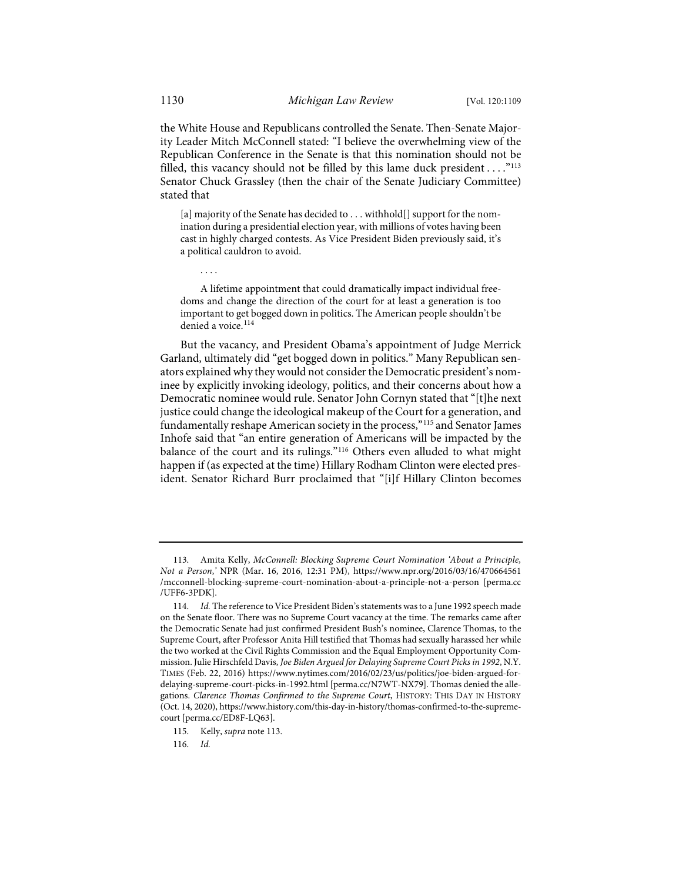the White House and Republicans controlled the Senate. Then-Senate Majority Leader Mitch McConnell stated: "I believe the overwhelming view of the Republican Conference in the Senate is that this nomination should not be filled, this vacancy should not be filled by this lame duck president  $\dots$ ."<sup>[113](#page-22-1)</sup> Senator Chuck Grassley (then the chair of the Senate Judiciary Committee) stated that

[a] majority of the Senate has decided to . . . withhold[] support for the nomination during a presidential election year, with millions of votes having been cast in highly charged contests. As Vice President Biden previously said, it's a political cauldron to avoid.

A lifetime appointment that could dramatically impact individual freedoms and change the direction of the court for at least a generation is too important to get bogged down in politics. The American people shouldn't be denied a voice.<sup>[114](#page-22-2)</sup>

But the vacancy, and President Obama's appointment of Judge Merrick Garland, ultimately did "get bogged down in politics." Many Republican senators explained why they would not consider the Democratic president's nominee by explicitly invoking ideology, politics, and their concerns about how a Democratic nominee would rule. Senator John Cornyn stated that "[t]he next justice could change the ideological makeup of the Court for a generation, and fundamentally reshape American society in the process,"[115](#page-22-3) and Senator James Inhofe said that "an entire generation of Americans will be impacted by the balance of the court and its rulings."[116](#page-22-4) Others even alluded to what might happen if (as expected at the time) Hillary Rodham Clinton were elected president. Senator Richard Burr proclaimed that "[i]f Hillary Clinton becomes

<span id="page-22-4"></span><span id="page-22-3"></span>115. Kelly, *supra* not[e 113.](#page-22-0) 

116. *Id.*

<span id="page-22-0"></span>. . . .

<span id="page-22-1"></span><sup>113.</sup> Amita Kelly, *McConnell: Blocking Supreme Court Nomination 'About a Principle, Not a Person*,*'* NPR (Mar. 16, 2016, 12:31 PM), [https://www.npr.org/2016/03/16/470664561](https://www.npr.org/2016/03/16/470664561/mcconnell-blocking-supreme-court-nomination-about-a-principle-not-a-person) [/mcconnell-blocking-supreme-court-nomination-about-a-principle-not-a-person](https://www.npr.org/2016/03/16/470664561/mcconnell-blocking-supreme-court-nomination-about-a-principle-not-a-person) [\[perma.cc](https://perma.cc/UFF6-3PDK) [/UFF6-3PDK\]](https://perma.cc/UFF6-3PDK).

<span id="page-22-2"></span><sup>114.</sup> *Id.* The reference to Vice President Biden's statements was to a June 1992 speech made on the Senate floor. There was no Supreme Court vacancy at the time. The remarks came after the Democratic Senate had just confirmed President Bush's nominee, Clarence Thomas, to the Supreme Court, after Professor Anita Hill testified that Thomas had sexually harassed her while the two worked at the Civil Rights Commission and the Equal Employment Opportunity Commission. Julie Hirschfeld Davis, *Joe Biden Argued for Delaying Supreme Court Picks in 1992*, N.Y. TIMES (Feb. 22, 2016) [https://www.nytimes.com/2016/02/23/us/politics/joe-biden-argued-for](https://www.nytimes.com/2016/02/23/us/politics/joe-biden-argued-for-delaying-supreme-court-picks-in-1992.html)[delaying-supreme-court-picks-in-1992.html](https://www.nytimes.com/2016/02/23/us/politics/joe-biden-argued-for-delaying-supreme-court-picks-in-1992.html) [\[perma.cc/N7WT-NX79\]](https://perma.cc/N7WT-NX79). Thomas denied the allegations. *Clarence Thomas Confirmed to the Supreme Court*, HISTORY: THIS DAY IN HISTORY (Oct. 14, 2020)[, https://www.history.com/this-day-in-history/thomas-confirmed-to-the-supreme](https://www.history.com/this-day-in-history/thomas-confirmed-to-the-supreme-court)[court](https://www.history.com/this-day-in-history/thomas-confirmed-to-the-supreme-court) [\[perma.cc/ED8F-LQ63\]](https://perma.cc/ED8F-LQ63).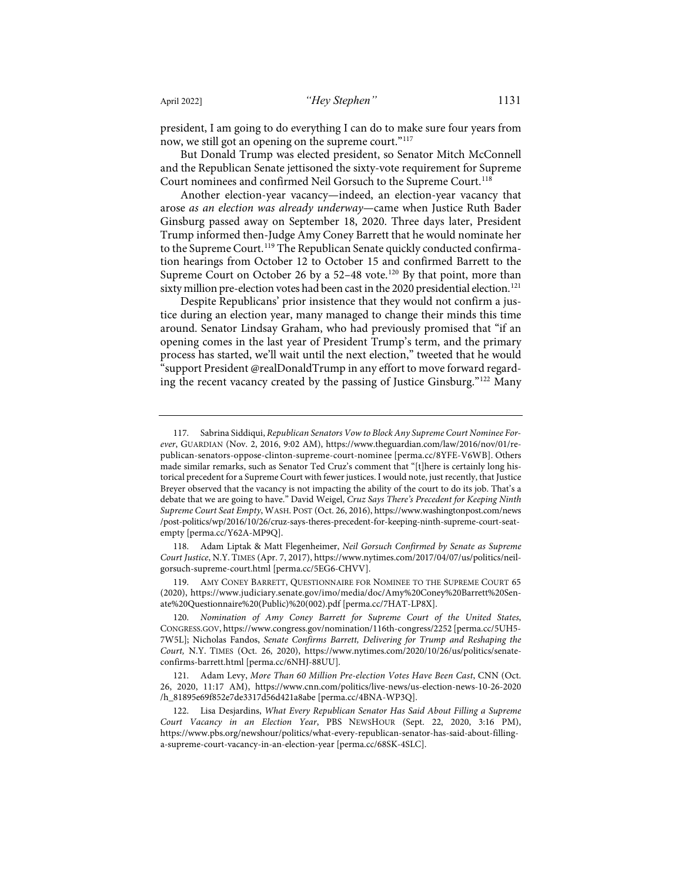president, I am going to do everything I can do to make sure four years from now, we still got an opening on the supreme court."<sup>[117](#page-23-0)</sup>

But Donald Trump was elected president, so Senator Mitch McConnell and the Republican Senate jettisoned the sixty-vote requirement for Supreme Court nominees and confirmed Neil Gorsuch to the Supreme Court.<sup>[118](#page-23-1)</sup>

Another election-year vacancy—indeed, an election-year vacancy that arose *as an election was already underway*—came when Justice Ruth Bader Ginsburg passed away on September 18, 2020. Three days later, President Trump informed then-Judge Amy Coney Barrett that he would nominate her to the Supreme Court.<sup>[119](#page-23-2)</sup> The Republican Senate quickly conducted confirmation hearings from October 12 to October 15 and confirmed Barrett to the Supreme Court on October 26 by a 52-48 vote.<sup>[120](#page-23-3)</sup> By that point, more than sixty million pre-election votes had been cast in the 2020 presidential election.<sup>[121](#page-23-4)</sup>

Despite Republicans' prior insistence that they would not confirm a justice during an election year, many managed to change their minds this time around. Senator Lindsay Graham, who had previously promised that "if an opening comes in the last year of President Trump's term, and the primary process has started, we'll wait until the next election," tweeted that he would "support President @realDonaldTrump in any effort to move forward regarding the recent vacancy created by the passing of Justice Ginsburg."[122](#page-23-5) Many

<span id="page-23-1"></span>118. Adam Liptak & Matt Flegenheimer, *Neil Gorsuch Confirmed by Senate as Supreme Court Justice*, N.Y. TIMES (Apr. 7, 2017)[, https://www.nytimes.com/2017/04/07/us/politics/neil](https://www.nytimes.com/2017/04/07/us/politics/neil-gorsuch-supreme-court.html)[gorsuch-supreme-court.html](https://www.nytimes.com/2017/04/07/us/politics/neil-gorsuch-supreme-court.html) [\[perma.cc/5EG6-CHVV\]](https://perma.cc/5EG6-CHVV).

<span id="page-23-2"></span>119. AMY CONEY BARRETT, QUESTIONNAIRE FOR NOMINEE TO THE SUPREME COURT 65 (2020), [https://www.judiciary.senate.gov/imo/media/doc/Amy%20Coney%20Barrett%20Sen](https://www.judiciary.senate.gov/imo/media/doc/Amy%20Coney%20Barrett%20Senate%20Questionnaire%20(Public)%20(002).pdf)[ate%20Questionnaire%20\(Public\)%20\(002\).pdf](https://www.judiciary.senate.gov/imo/media/doc/Amy%20Coney%20Barrett%20Senate%20Questionnaire%20(Public)%20(002).pdf) [\[perma.cc/7HAT-LP8X\]](https://perma.cc/7HAT-LP8X).

<span id="page-23-3"></span>120. *Nomination of Amy Coney Barrett for Supreme Court of the United States*, CONGRESS.GOV[, https://www.congress.gov/nomination/116th-congress/2252](https://www.congress.gov/nomination/116th-congress/2252) [\[perma.cc/5UH5-](https://perma.cc/5UH5-7W5L) [7W5L\]](https://perma.cc/5UH5-7W5L); Nicholas Fandos, *Senate Confirms Barrett, Delivering for Trump and Reshaping the Court,* N.Y. TIMES (Oct. 26, 2020), [https://www.nytimes.com/2020/10/26/us/politics/senate](https://www.nytimes.com/2020/10/26/us/politics/senate-confirms-barrett.html)[confirms-barrett.html](https://www.nytimes.com/2020/10/26/us/politics/senate-confirms-barrett.html) [\[perma.cc/6NHJ-88UU\]](https://perma.cc/6NHJ-88UU).

<span id="page-23-0"></span><sup>117.</sup> Sabrina Siddiqui, *Republican Senators Vow to Block Any Supreme Court Nominee Forever*, GUARDIAN (Nov. 2, 2016, 9:02 AM)[, https://www.theguardian.com/law/2016/nov/01/re](https://www.theguardian.com/law/2016/nov/01/republican-senators-oppose-clinton-supreme-court-nominee)[publican-senators-oppose-clinton-supreme-court-nominee](https://www.theguardian.com/law/2016/nov/01/republican-senators-oppose-clinton-supreme-court-nominee) [\[perma.cc/8YFE-V6WB\]](https://perma.cc/8YFE-V6WB). Others made similar remarks, such as Senator Ted Cruz's comment that "[t]here is certainly long historical precedent for a Supreme Court with fewer justices. I would note, just recently, that Justice Breyer observed that the vacancy is not impacting the ability of the court to do its job. That's a debate that we are going to have." David Weigel, *Cruz Says There's Precedent for Keeping Ninth Supreme Court Seat Empty*, WASH. POST (Oct. 26, 2016), [https://www.washingtonpost.com/news](https://www.washingtonpost.com/news/post-politics/wp/2016/10/26/cruz-says-theres-precedent-for-keeping-ninth-supreme-court-seat-empty/) [/post-politics/wp/2016/10/26/cruz-says-theres-precedent-for-keeping-ninth-supreme-court-seat](https://www.washingtonpost.com/news/post-politics/wp/2016/10/26/cruz-says-theres-precedent-for-keeping-ninth-supreme-court-seat-empty/)[empty](https://www.washingtonpost.com/news/post-politics/wp/2016/10/26/cruz-says-theres-precedent-for-keeping-ninth-supreme-court-seat-empty/) [\[perma.cc/Y62A-MP9Q\]](https://perma.cc/Y62A-MP9Q).

<span id="page-23-4"></span><sup>121.</sup> Adam Levy, *More Than 60 Million Pre-election Votes Have Been Cast*, CNN (Oct. 26, 2020, 11:17 AM), [https://www.cnn.com/politics/live-news/us-election-news-10-26-2020](https://www.cnn.com/politics/live-news/us-election-news-10-26-2020/h_81895e69f852e7de3317d56d421a8abe) [/h\\_81895e69f852e7de3317d56d421a8abe](https://www.cnn.com/politics/live-news/us-election-news-10-26-2020/h_81895e69f852e7de3317d56d421a8abe) [\[perma.cc/4BNA-WP3Q\]](https://perma.cc/4BNA-WP3Q).

<span id="page-23-5"></span><sup>122.</sup> Lisa Desjardins, *What Every Republican Senator Has Said About Filling a Supreme Court Vacancy in an Election Year*, PBS NEWSHOUR (Sept. 22, 2020, 3:16 PM), [https://www.pbs.org/newshour/politics/what-every-republican-senator-has-said-about-filling](https://www.pbs.org/newshour/politics/what-every-republican-senator-has-said-about-filling-a-supreme-court-vacancy-in-an-election-year)[a-supreme-court-vacancy-in-an-election-year](https://www.pbs.org/newshour/politics/what-every-republican-senator-has-said-about-filling-a-supreme-court-vacancy-in-an-election-year) [\[perma.cc/68SK-4SLC\]](https://perma.cc/68SK-4SLC).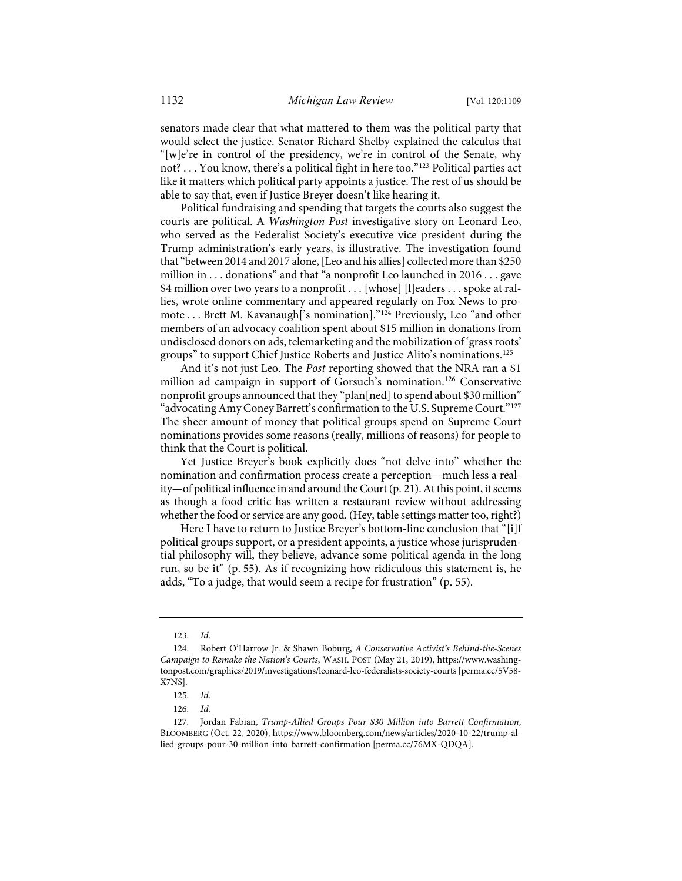senators made clear that what mattered to them was the political party that would select the justice. Senator Richard Shelby explained the calculus that "[w]e're in control of the presidency, we're in control of the Senate, why not? . . . You know, there's a political fight in here too."[123](#page-24-0) Political parties act like it matters which political party appoints a justice. The rest of us should be able to say that, even if Justice Breyer doesn't like hearing it.

Political fundraising and spending that targets the courts also suggest the courts are political. A *Washington Post* investigative story on Leonard Leo, who served as the Federalist Society's executive vice president during the Trump administration's early years, is illustrative. The investigation found that "between 2014 and 2017 alone, [Leo and his allies] collected more than \$250 million in . . . donations" and that "a nonprofit Leo launched in 2016 . . . gave \$4 million over two years to a nonprofit . . . [whose] [l]eaders . . . spoke at rallies, wrote online commentary and appeared regularly on Fox News to promote . . . Brett M. Kavanaugh['s nomination]."[124](#page-24-1) Previously, Leo "and other members of an advocacy coalition spent about \$15 million in donations from undisclosed donors on ads, telemarketing and the mobilization of 'grass roots' groups" to support Chief Justice Roberts and Justice Alito's nominations[.125](#page-24-2)

And it's not just Leo. The *Post* reporting showed that the NRA ran a \$1 million ad campaign in support of Gorsuch's nomination.[126](#page-24-3) Conservative nonprofit groups announced that they "plan[ned] to spend about \$30 million" "advocating Amy Coney Barrett's confirmation to the U.S. Supreme Court."<sup>[127](#page-24-4)</sup> The sheer amount of money that political groups spend on Supreme Court nominations provides some reasons (really, millions of reasons) for people to think that the Court is political.

Yet Justice Breyer's book explicitly does "not delve into" whether the nomination and confirmation process create a perception—much less a reality—of political influence in and around the Court (p. 21). At this point, it seems as though a food critic has written a restaurant review without addressing whether the food or service are any good. (Hey, table settings matter too, right?)

Here I have to return to Justice Breyer's bottom-line conclusion that "[i]f political groups support, or a president appoints, a justice whose jurisprudential philosophy will, they believe, advance some political agenda in the long run, so be it" (p. 55). As if recognizing how ridiculous this statement is, he adds, "To a judge, that would seem a recipe for frustration" (p. 55).

<sup>123.</sup> *Id.*

<span id="page-24-1"></span><span id="page-24-0"></span><sup>124.</sup> Robert O'Harrow Jr. & Shawn Boburg, *A Conservative Activist's Behind-the-Scenes Campaign to Remake the Nation's Courts*, WASH. POST (May 21, 2019)[, https://www.washing](https://www.washingtonpost.com/graphics/2019/investigations/leonard-leo-federalists-society-courts/)[tonpost.com/graphics/2019/investigations/leonard-leo-federalists-society-courts](https://www.washingtonpost.com/graphics/2019/investigations/leonard-leo-federalists-society-courts/) [\[perma.cc/5V58-](https://perma.cc/5V58-X7NS) [X7NS\]](https://perma.cc/5V58-X7NS).

<sup>125.</sup> *Id.*

<sup>126.</sup> *Id.*

<span id="page-24-4"></span><span id="page-24-3"></span><span id="page-24-2"></span><sup>127.</sup> Jordan Fabian, *Trump-Allied Groups Pour \$30 Million into Barrett Confirmation*, BLOOMBERG (Oct. 22, 2020), [https://www.bloomberg.com/news/articles/2020-10-22/trump-al](https://www.bloomberg.com/news/articles/2020-10-22/trump-allied-groups-pour-30-million-into-barrett-confirmation)[lied-groups-pour-30-million-into-barrett-confirmation](https://www.bloomberg.com/news/articles/2020-10-22/trump-allied-groups-pour-30-million-into-barrett-confirmation) [\[perma.cc/76MX-QDQA\]](https://perma.cc/76MX-QDQA).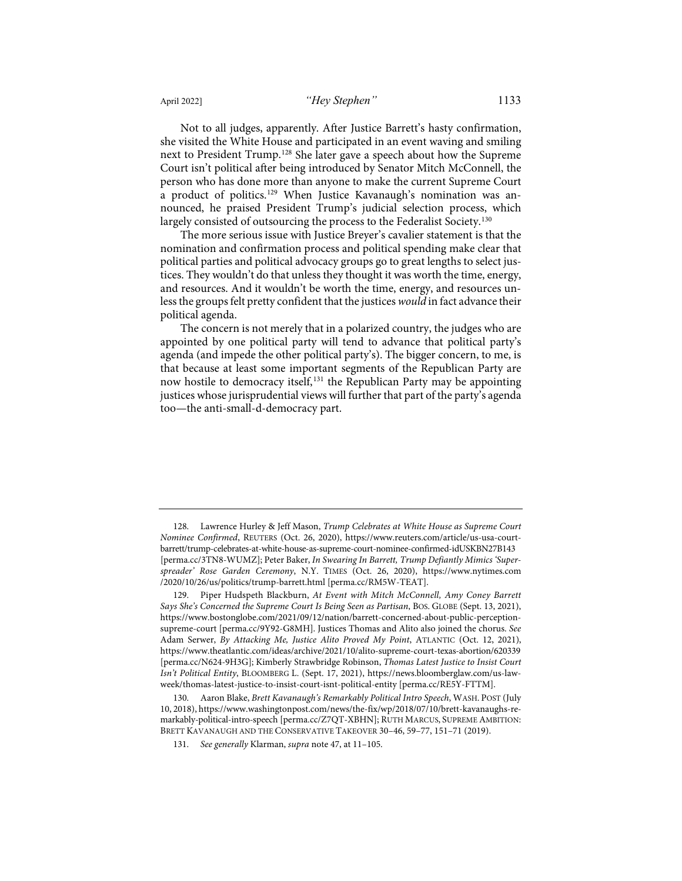Not to all judges, apparently. After Justice Barrett's hasty confirmation, she visited the White House and participated in an event waving and smiling next to President Trump.[128](#page-25-0) She later gave a speech about how the Supreme Court isn't political after being introduced by Senator Mitch McConnell, the person who has done more than anyone to make the current Supreme Court a product of politics.<sup>[129](#page-25-1)</sup> When Justice Kavanaugh's nomination was announced, he praised President Trump's judicial selection process, which largely consisted of outsourcing the process to the Federalist Society.<sup>[130](#page-25-2)</sup>

The more serious issue with Justice Breyer's cavalier statement is that the nomination and confirmation process and political spending make clear that political parties and political advocacy groups go to great lengths to select justices. They wouldn't do that unless they thought it was worth the time, energy, and resources. And it wouldn't be worth the time, energy, and resources unless the groups felt pretty confident that the justices *would* in fact advance their political agenda.

The concern is not merely that in a polarized country, the judges who are appointed by one political party will tend to advance that political party's agenda (and impede the other political party's). The bigger concern, to me, is that because at least some important segments of the Republican Party are now hostile to democracy itself,<sup>[131](#page-25-3)</sup> the Republican Party may be appointing justices whose jurisprudential views will further that part of the party's agenda too—the anti-small-d-democracy part.

<span id="page-25-0"></span><sup>128.</sup> Lawrence Hurley & Jeff Mason, *Trump Celebrates at White House as Supreme Court Nominee Confirmed*, REUTERS (Oct. 26, 2020), [https://www.reuters.com/article/us-usa-court](https://www.reuters.com/article/us-usa-court-barrett/trump-celebrates-at-white-house-as-supreme-court-nominee-confirmed-idUSKBN27B143)[barrett/trump-celebrates-at-white-house-as-supreme-court-nominee-confirmed-idUSKBN27B143](https://www.reuters.com/article/us-usa-court-barrett/trump-celebrates-at-white-house-as-supreme-court-nominee-confirmed-idUSKBN27B143) [\[perma.cc/3TN8-WUMZ\]](https://perma.cc/3TN8-WUMZ); Peter Baker, *In Swearing In Barrett, Trump Defiantly Mimics 'Superspreader' Rose Garden Ceremony*, N.Y. TIMES (Oct. 26, 2020), [https://www.nytimes.com](https://www.nytimes.com/2020/10/26/us/politics/trump-barrett.html) [/2020/10/26/us/politics/trump-barrett.html](https://www.nytimes.com/2020/10/26/us/politics/trump-barrett.html) [\[perma.cc/RM5W-TEAT\]](https://perma.cc/RM5W-TEAT).

<span id="page-25-1"></span><sup>129.</sup> Piper Hudspeth Blackburn, *At Event with Mitch McConnell, Amy Coney Barrett Says She's Concerned the Supreme Court Is Being Seen as Partisan*, BOS. GLOBE (Sept. 13, 2021), [https://www.bostonglobe.com/2021/09/12/nation/barrett-concerned-about-public-perception](https://www.bostonglobe.com/2021/09/12/nation/barrett-concerned-about-public-perception-supreme-court/)[supreme-court](https://www.bostonglobe.com/2021/09/12/nation/barrett-concerned-about-public-perception-supreme-court/) [\[perma.cc/9Y92-G8MH\]](https://perma.cc/9Y92-G8MH). Justices Thomas and Alito also joined the chorus. *See* Adam Serwer, *By Attacking Me, Justice Alito Proved My Point*, ATLANTIC (Oct. 12, 2021), [https://www.theatlantic.com/ideas/archive/2021/10/alito-supreme-court-texas-abortion/620339](https://www.theatlantic.com/ideas/archive/2021/10/alito-supreme-court-texas-abortion/620339/) [\[perma.cc/N624-9H3G\]](https://perma.cc/N624-9H3G); Kimberly Strawbridge Robinson, *Thomas Latest Justice to Insist Court Isn't Political Entity*, BLOOMBERG L. (Sept. 17, 2021), [https://news.bloomberglaw.com/us-law](https://news.bloomberglaw.com/us-law-week/thomas-latest-justice-to-insist-court-isnt-political-entity)[week/thomas-latest-justice-to-insist-court-isnt-political-entity](https://news.bloomberglaw.com/us-law-week/thomas-latest-justice-to-insist-court-isnt-political-entity) [\[perma.cc/RE5Y-FTTM\]](https://perma.cc/RE5Y-FTTM).

<span id="page-25-3"></span><span id="page-25-2"></span><sup>130.</sup> Aaron Blake, *Brett Kavanaugh's Remarkably Political Intro Speech*, WASH. POST (July 10, 2018)[, https://www.washingtonpost.com/news/the-fix/wp/2018/07/10/brett-kavanaughs-re](https://www.washingtonpost.com/news/the-fix/wp/2018/07/10/brett-kavanaughs-remarkably-political-intro-speech/)[markably-political-intro-speech](https://www.washingtonpost.com/news/the-fix/wp/2018/07/10/brett-kavanaughs-remarkably-political-intro-speech/) [\[perma.cc/Z7QT-XBHN\]](https://perma.cc/Z7QT-XBHN); RUTH MARCUS, SUPREME AMBITION: BRETT KAVANAUGH AND THE CONSERVATIVE TAKEOVER 30–46, 59–77, 151–71 (2019).

<sup>131.</sup> *See generally* Klarman, *supra* not[e 47,](#page-9-8) at 11–105.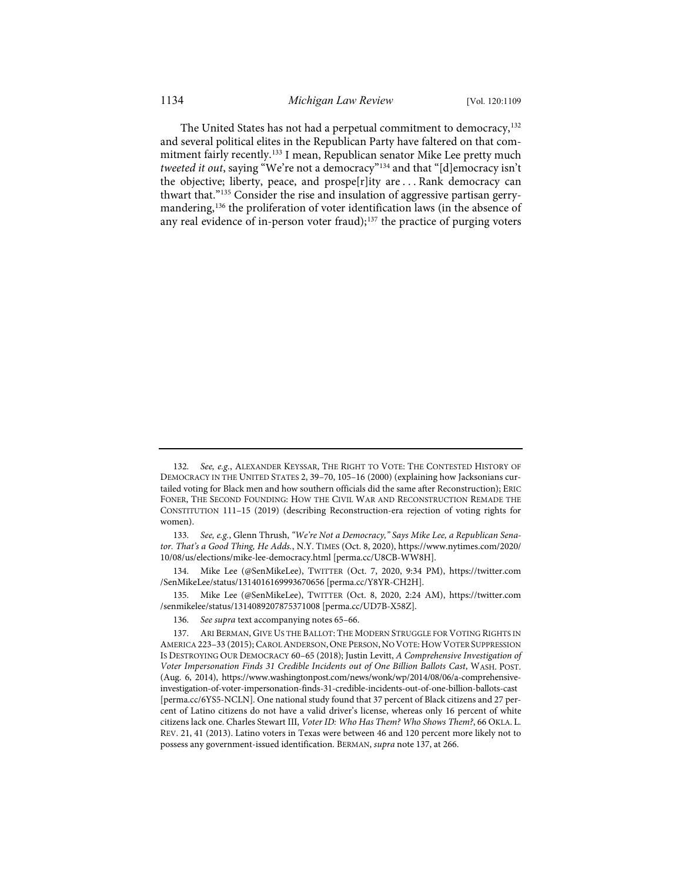<span id="page-26-0"></span>The United States has not had a perpetual commitment to democracy,<sup>[132](#page-26-1)</sup> and several political elites in the Republican Party have faltered on that commitment fairly recently.[133](#page-26-2) I mean, Republican senator Mike Lee pretty much *tweeted it out*, saying "We're not a democracy"[134](#page-26-3) and that "[d]emocracy isn't the objective; liberty, peace, and prospe[r]ity are . . . Rank democracy can thwart that."[135](#page-26-4) Consider the rise and insulation of aggressive partisan gerry-mandering,<sup>[136](#page-26-5)</sup> the proliferation of voter identification laws (in the absence of any real evidence of in-person voter fraud);<sup>[137](#page-26-6)</sup> the practice of purging voters

<span id="page-26-1"></span><sup>132.</sup> See, e.g., ALEXANDER KEYSSAR, THE RIGHT TO VOTE: THE CONTESTED HISTORY OF DEMOCRACY IN THE UNITED STATES 2, 39–70, 105–16 (2000) (explaining how Jacksonians curtailed voting for Black men and how southern officials did the same after Reconstruction); ERIC FONER, THE SECOND FOUNDING: HOW THE CIVIL WAR AND RECONSTRUCTION REMADE THE CONSTITUTION 111–15 (2019) (describing Reconstruction-era rejection of voting rights for women).

<span id="page-26-2"></span><sup>133.</sup> *See, e.g.*, Glenn Thrush, *"We're Not a Democracy," Says Mike Lee, a Republican Senator. That's a Good Thing, He Adds.*, N.Y. TIMES (Oct. 8, 2020), [https://www.nytimes.com/2020/](https://www.nytimes.com/2020/10/08/us/elections/mike-lee-democracy.html) [10/08/us/elections/mike-lee-democracy.html](https://www.nytimes.com/2020/10/08/us/elections/mike-lee-democracy.html) [\[perma.cc/U8CB-WW8H\]](https://perma.cc/U8CB-WW8H).

<span id="page-26-3"></span><sup>134.</sup> Mike Lee (@SenMikeLee), TWITTER (Oct. 7, 2020, 9:34 PM), [https://twitter.com](https://twitter.com/SenMikeLee/status/1314016169993670656) [/SenMikeLee/status/1314016169993670656](https://twitter.com/SenMikeLee/status/1314016169993670656) [\[perma.cc/Y8YR-CH2H\]](https://perma.cc/Y8YR-CH2H).

<span id="page-26-4"></span><sup>135.</sup> Mike Lee (@SenMikeLee), TWITTER (Oct. 8, 2020, 2:24 AM), [https://twitter.com](https://twitter.com/senmikelee/status/1314089207875371008) [/senmikelee/status/1314089207875371008](https://twitter.com/senmikelee/status/1314089207875371008) [\[perma.cc/UD7B-X58Z\]](https://perma.cc/UD7B-X58Z).

<sup>136.</sup> *See supra* text accompanying note[s 65–](#page-13-0)[66.](#page-14-8) 

<span id="page-26-6"></span><span id="page-26-5"></span><sup>137.</sup> ARI BERMAN, GIVE US THE BALLOT: THE MODERN STRUGGLE FOR VOTING RIGHTS IN AMERICA 223-33 (2015); CAROL ANDERSON, ONE PERSON, NO VOTE: HOW VOTER SUPPRESSION IS DESTROYING OUR DEMOCRACY 60–65 (2018); Justin Levitt, *A Comprehensive Investigation of Voter Impersonation Finds 31 Credible Incidents out of One Billion Ballots Cast*, WASH. POST. (Aug. 6, 2014), [https://www.washingtonpost.com/news/wonk/wp/2014/08/06/a-comprehensive](https://www.washingtonpost.com/news/wonk/wp/2014/08/06/a-comprehensive-investigation-of-voter-impersonation-finds-31-credible-incidents-out-of-one-billion-ballots-cast/)[investigation-of-voter-impersonation-finds-31-credible-incidents-out-of-one-billion-ballots-cast](https://www.washingtonpost.com/news/wonk/wp/2014/08/06/a-comprehensive-investigation-of-voter-impersonation-finds-31-credible-incidents-out-of-one-billion-ballots-cast/) [\[perma.cc/6YS5-NCLN\]](https://perma.cc/6YS5-NCLN). One national study found that 37 percent of Black citizens and 27 percent of Latino citizens do not have a valid driver's license, whereas only 16 percent of white citizens lack one. Charles Stewart III, *Voter ID: Who Has Them? Who Shows Them?*, 66 OKLA. L. REV. 21, 41 (2013). Latino voters in Texas were between 46 and 120 percent more likely not to possess any government-issued identification. BERMAN, *supra* not[e 137,](#page-26-0) at 266.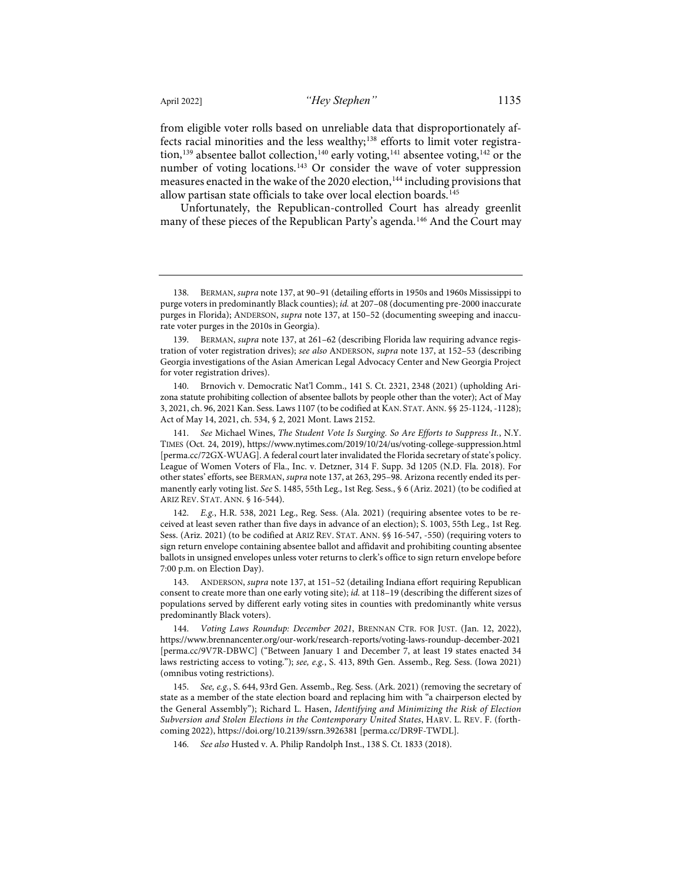from eligible voter rolls based on unreliable data that disproportionately af-fects racial minorities and the less wealthy;<sup>[138](#page-27-0)</sup> efforts to limit voter registra-tion,<sup>[139](#page-27-1)</sup> absentee ballot collection,<sup>[140](#page-27-2)</sup> early voting,<sup>[141](#page-27-3)</sup> absentee voting,<sup>[142](#page-27-4)</sup> or the number of voting locations.<sup>[143](#page-27-5)</sup> Or consider the wave of voter suppression measures enacted in the wake of the 2020 election,<sup>[144](#page-27-6)</sup> including provisions that allow partisan state officials to take over local election boards.<sup>[145](#page-27-7)</sup>

Unfortunately, the Republican-controlled Court has already greenlit many of these pieces of the Republican Party's agenda.<sup>[146](#page-27-8)</sup> And the Court may

<span id="page-27-0"></span><sup>138.</sup> BERMAN, *supra* not[e 137,](#page-26-0) at 90–91 (detailing efforts in 1950s and 1960s Mississippi to purge voters in predominantly Black counties); *id.* at 207–08 (documenting pre-2000 inaccurate purges in Florida); ANDERSON, *supra* note [137,](#page-26-0) at 150–52 (documenting sweeping and inaccurate voter purges in the 2010s in Georgia).

<span id="page-27-1"></span><sup>139.</sup> BERMAN, *supra* note [137,](#page-26-0) at 261–62 (describing Florida law requiring advance registration of voter registration drives); *see also* ANDERSON, *supra* not[e 137,](#page-26-0) at 152–53 (describing Georgia investigations of the Asian American Legal Advocacy Center and New Georgia Project for voter registration drives).

<span id="page-27-2"></span><sup>140.</sup> Brnovich v. Democratic Nat'l Comm., 141 S. Ct. 2321, 2348 (2021) (upholding Arizona statute prohibiting collection of absentee ballots by people other than the voter); Act of May 3, 2021, ch. 96, 2021 Kan. Sess. Laws 1107 (to be codified at KAN. STAT.ANN. §§ 25-1124, -1128); Act of May 14, 2021, ch. 534, § 2, 2021 Mont. Laws 2152.

<span id="page-27-3"></span><sup>141.</sup> *See* Michael Wines, *The Student Vote Is Surging. So Are Efforts to Suppress It.*, N.Y. TIMES (Oct. 24, 2019),<https://www.nytimes.com/2019/10/24/us/voting-college-suppression.html> [\[perma.cc/72GX-WUAG\]](https://perma.cc/72GX-WUAG). A federal court later invalidated the Florida secretary of state's policy. League of Women Voters of Fla., Inc. v. Detzner, 314 F. Supp. 3d 1205 (N.D. Fla. 2018). For other states' efforts, see BERMAN, *supra* not[e 137,](#page-26-0) at 263, 295–98. Arizona recently ended its permanently early voting list. *See* S. 1485, 55th Leg., 1st Reg. Sess., § 6 (Ariz. 2021) (to be codified at ARIZ REV. STAT. ANN. § 16-544).

<span id="page-27-4"></span><sup>142.</sup> *E.g.*, H.R. 538, 2021 Leg., Reg. Sess. (Ala. 2021) (requiring absentee votes to be received at least seven rather than five days in advance of an election); S. 1003, 55th Leg., 1st Reg. Sess. (Ariz. 2021) (to be codified at ARIZ REV. STAT. ANN. §§ 16-547, -550) (requiring voters to sign return envelope containing absentee ballot and affidavit and prohibiting counting absentee ballots in unsigned envelopes unless voter returns to clerk's office to sign return envelope before 7:00 p.m. on Election Day).

<span id="page-27-5"></span><sup>143.</sup> ANDERSON, *supra* not[e 137,](#page-26-0) at 151–52 (detailing Indiana effort requiring Republican consent to create more than one early voting site); *id.* at 118–19 (describing the different sizes of populations served by different early voting sites in counties with predominantly white versus predominantly Black voters).

<span id="page-27-6"></span><sup>144.</sup> *Voting Laws Roundup: December 2021*, BRENNAN CTR. FOR JUST. (Jan. 12, 2022), <https://www.brennancenter.org/our-work/research-reports/voting-laws-roundup-december-2021> [\[perma.cc/9V7R-DBWC\]](https://perma.cc/9V7R-DBWC) ("Between January 1 and December 7, at least 19 states enacted 34 laws restricting access to voting."); *see, e.g.*, S. 413, 89th Gen. Assemb., Reg. Sess. (Iowa 2021) (omnibus voting restrictions).

<span id="page-27-8"></span><span id="page-27-7"></span><sup>145.</sup> *See, e.g.*, S. 644, 93rd Gen. Assemb., Reg. Sess. (Ark. 2021) (removing the secretary of state as a member of the state election board and replacing him with "a chairperson elected by the General Assembly"); Richard L. Hasen, *Identifying and Minimizing the Risk of Election Subversion and Stolen Elections in the Contemporary United States*, HARV. L. REV. F. (forthcoming 2022)[, https://doi.org/10.2139/ssrn.3926381](https://doi.org/10.2139/ssrn.3926381) [\[perma.cc/DR9F-TWDL\]](https://perma.cc/DR9F-TWDL).

<sup>146.</sup> *See also* Husted v. A. Philip Randolph Inst., 138 S. Ct. 1833 (2018).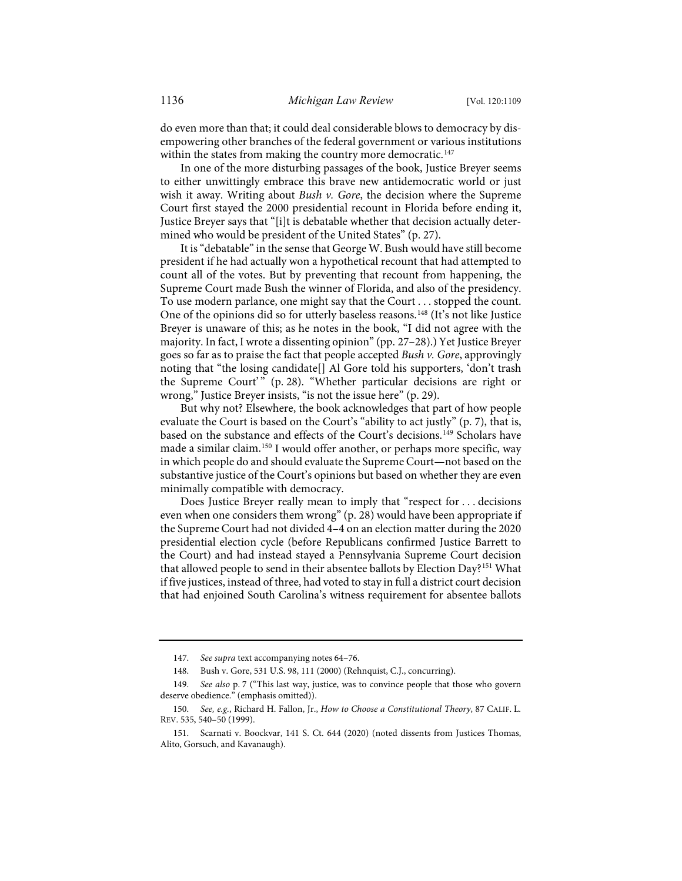do even more than that; it could deal considerable blows to democracy by disempowering other branches of the federal government or various institutions within the states from making the country more democratic.<sup>[147](#page-28-0)</sup>

In one of the more disturbing passages of the book, Justice Breyer seems to either unwittingly embrace this brave new antidemocratic world or just wish it away. Writing about *Bush v. Gore*, the decision where the Supreme Court first stayed the 2000 presidential recount in Florida before ending it, Justice Breyer says that "[i]t is debatable whether that decision actually determined who would be president of the United States" (p. 27).

It is "debatable" in the sense that George W. Bush would have still become president if he had actually won a hypothetical recount that had attempted to count all of the votes. But by preventing that recount from happening, the Supreme Court made Bush the winner of Florida, and also of the presidency. To use modern parlance, one might say that the Court . . . stopped the count. One of the opinions did so for utterly baseless reasons.<sup>[148](#page-28-1)</sup> (It's not like Justice Breyer is unaware of this; as he notes in the book, "I did not agree with the majority. In fact, I wrote a dissenting opinion" (pp. 27–28).) Yet Justice Breyer goes so far as to praise the fact that people accepted *Bush v. Gore*, approvingly noting that "the losing candidate[] Al Gore told his supporters, 'don't trash the Supreme Court'" (p. 28). "Whether particular decisions are right or wrong," Justice Breyer insists, "is not the issue here" (p. 29).

But why not? Elsewhere, the book acknowledges that part of how people evaluate the Court is based on the Court's "ability to act justly" (p. 7), that is, based on the substance and effects of the Court's decisions.<sup>[149](#page-28-2)</sup> Scholars have made a similar claim.[150](#page-28-3) I would offer another, or perhaps more specific, way in which people do and should evaluate the Supreme Court—not based on the substantive justice of the Court's opinions but based on whether they are even minimally compatible with democracy.

Does Justice Breyer really mean to imply that "respect for . . . decisions even when one considers them wrong" (p. 28) would have been appropriate if the Supreme Court had not divided 4–4 on an election matter during the 2020 presidential election cycle (before Republicans confirmed Justice Barrett to the Court) and had instead stayed a Pennsylvania Supreme Court decision that allowed people to send in their absentee ballots by Election Day?<sup>[151](#page-28-4)</sup> What if five justices, instead of three, had voted to stay in full a district court decision that had enjoined South Carolina's witness requirement for absentee ballots

<sup>147.</sup> *See supra* text accompanying note[s 64–](#page-13-7)[76.](#page-15-0) 

<sup>148.</sup> Bush v. Gore, 531 U.S. 98, 111 (2000) (Rehnquist, C.J., concurring).

<span id="page-28-2"></span><span id="page-28-1"></span><span id="page-28-0"></span><sup>149.</sup> *See also* p. 7 ("This last way, justice, was to convince people that those who govern deserve obedience." (emphasis omitted)).

<span id="page-28-3"></span><sup>150.</sup> *See, e.g.*, Richard H. Fallon, Jr., *How to Choose a Constitutional Theory*, 87 CALIF. L. REV. 535, 540–50 (1999).

<span id="page-28-4"></span><sup>151.</sup> Scarnati v. Boockvar, 141 S. Ct. 644 (2020) (noted dissents from Justices Thomas, Alito, Gorsuch, and Kavanaugh).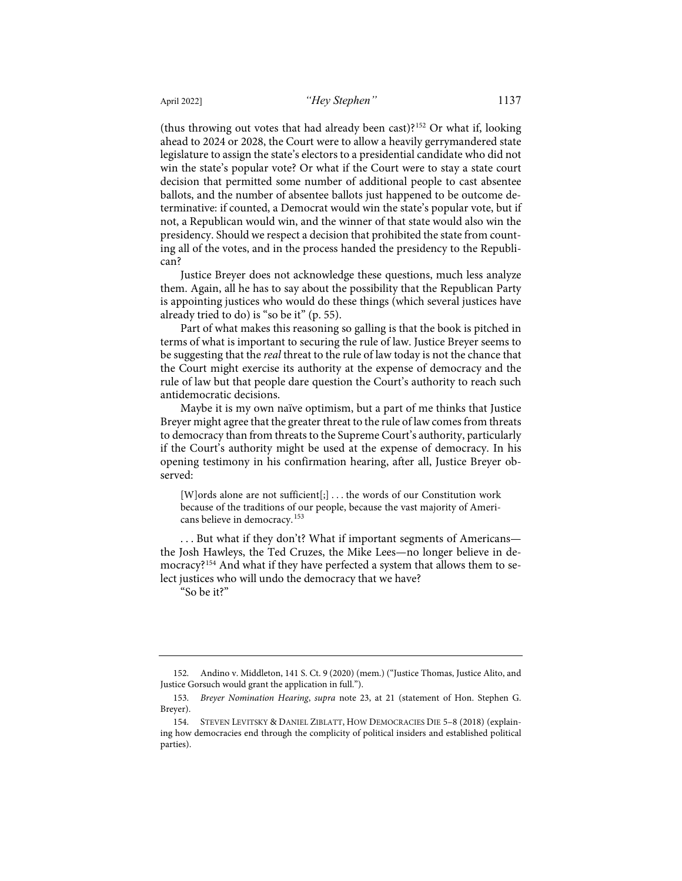(thus throwing out votes that had already been cast)?[152](#page-29-0) Or what if, looking ahead to 2024 or 2028, the Court were to allow a heavily gerrymandered state legislature to assign the state's electors to a presidential candidate who did not win the state's popular vote? Or what if the Court were to stay a state court decision that permitted some number of additional people to cast absentee ballots, and the number of absentee ballots just happened to be outcome determinative: if counted, a Democrat would win the state's popular vote, but if not, a Republican would win, and the winner of that state would also win the presidency. Should we respect a decision that prohibited the state from counting all of the votes, and in the process handed the presidency to the Republican?

Justice Breyer does not acknowledge these questions, much less analyze them. Again, all he has to say about the possibility that the Republican Party is appointing justices who would do these things (which several justices have already tried to do) is "so be it" (p. 55).

Part of what makes this reasoning so galling is that the book is pitched in terms of what is important to securing the rule of law. Justice Breyer seems to be suggesting that the *real* threat to the rule of law today is not the chance that the Court might exercise its authority at the expense of democracy and the rule of law but that people dare question the Court's authority to reach such antidemocratic decisions.

Maybe it is my own naïve optimism, but a part of me thinks that Justice Breyer might agree that the greater threat to the rule of law comes from threats to democracy than from threats to the Supreme Court's authority, particularly if the Court's authority might be used at the expense of democracy. In his opening testimony in his confirmation hearing, after all, Justice Breyer observed:

[W]ords alone are not sufficient[;] . . . the words of our Constitution work because of the traditions of our people, because the vast majority of Americans believe in democracy.[153](#page-29-1)

. . . But what if they don't? What if important segments of Americans the Josh Hawleys, the Ted Cruzes, the Mike Lees—no longer believe in de-mocracy?<sup>[154](#page-29-2)</sup> And what if they have perfected a system that allows them to select justices who will undo the democracy that we have?

"So be it?"

<span id="page-29-0"></span><sup>152.</sup> Andino v. Middleton, 141 S. Ct. 9 (2020) (mem.) ("Justice Thomas, Justice Alito, and Justice Gorsuch would grant the application in full.").

<span id="page-29-1"></span><sup>153.</sup> *Breyer Nomination Hearing*, *supra* note [23,](#page-5-8) at 21 (statement of Hon. Stephen G. Breyer).

<span id="page-29-2"></span><sup>154.</sup> STEVEN LEVITSKY & DANIEL ZIBLATT, HOW DEMOCRACIES DIE 5–8 (2018) (explaining how democracies end through the complicity of political insiders and established political parties).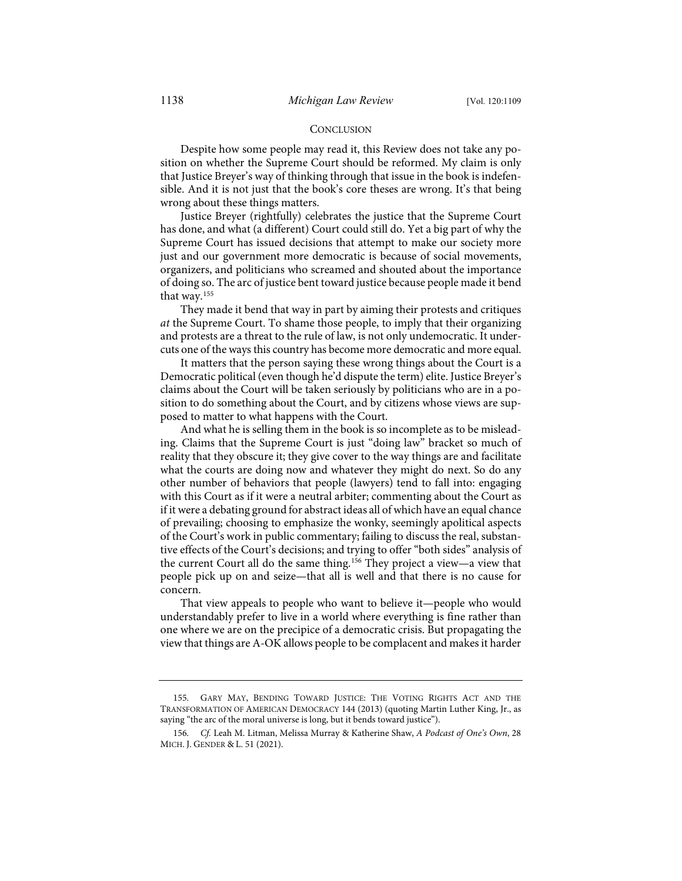#### **CONCLUSION**

Despite how some people may read it, this Review does not take any position on whether the Supreme Court should be reformed. My claim is only that Justice Breyer's way of thinking through that issue in the book is indefensible. And it is not just that the book's core theses are wrong. It's that being wrong about these things matters.

Justice Breyer (rightfully) celebrates the justice that the Supreme Court has done, and what (a different) Court could still do. Yet a big part of why the Supreme Court has issued decisions that attempt to make our society more just and our government more democratic is because of social movements, organizers, and politicians who screamed and shouted about the importance of doing so. The arc of justice bent toward justice because people made it bend that way.[155](#page-30-0)

They made it bend that way in part by aiming their protests and critiques *at* the Supreme Court. To shame those people, to imply that their organizing and protests are a threat to the rule of law, is not only undemocratic. It undercuts one of the ways this country has become more democratic and more equal.

It matters that the person saying these wrong things about the Court is a Democratic political (even though he'd dispute the term) elite. Justice Breyer's claims about the Court will be taken seriously by politicians who are in a position to do something about the Court, and by citizens whose views are supposed to matter to what happens with the Court.

And what he is selling them in the book is so incomplete as to be misleading. Claims that the Supreme Court is just "doing law" bracket so much of reality that they obscure it; they give cover to the way things are and facilitate what the courts are doing now and whatever they might do next. So do any other number of behaviors that people (lawyers) tend to fall into: engaging with this Court as if it were a neutral arbiter; commenting about the Court as if it were a debating ground for abstract ideas all of which have an equal chance of prevailing; choosing to emphasize the wonky, seemingly apolitical aspects of the Court's work in public commentary; failing to discuss the real, substantive effects of the Court's decisions; and trying to offer "both sides" analysis of the current Court all do the same thing.<sup>156</sup> They project a view-a view that people pick up on and seize—that all is well and that there is no cause for concern.

That view appeals to people who want to believe it—people who would understandably prefer to live in a world where everything is fine rather than one where we are on the precipice of a democratic crisis. But propagating the view that things are A-OK allows people to be complacent and makes it harder

<span id="page-30-0"></span><sup>155.</sup> GARY MAY, BENDING TOWARD JUSTICE: THE VOTING RIGHTS ACT AND THE TRANSFORMATION OF AMERICAN DEMOCRACY 144 (2013) (quoting Martin Luther King, Jr., as saying "the arc of the moral universe is long, but it bends toward justice").

<span id="page-30-1"></span><sup>156.</sup> *Cf.* Leah M. Litman, Melissa Murray & Katherine Shaw, *A Podcast of One's Own*, 28 MICH. J. GENDER & L. 51 (2021).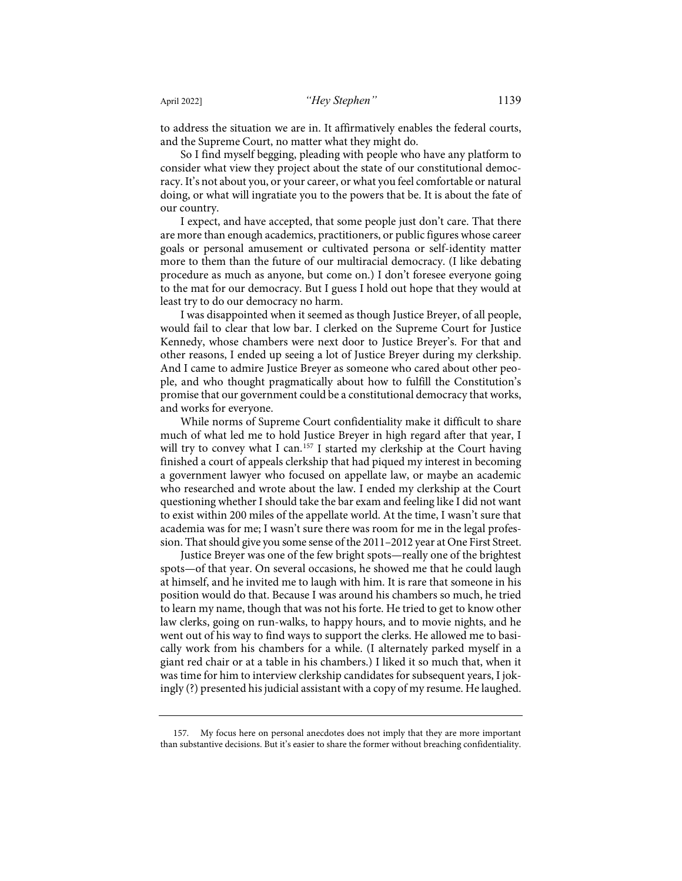to address the situation we are in. It affirmatively enables the federal courts, and the Supreme Court, no matter what they might do.

So I find myself begging, pleading with people who have any platform to consider what view they project about the state of our constitutional democracy. It's not about you, or your career, or what you feel comfortable or natural doing, or what will ingratiate you to the powers that be. It is about the fate of our country.

I expect, and have accepted, that some people just don't care. That there are more than enough academics, practitioners, or public figures whose career goals or personal amusement or cultivated persona or self-identity matter more to them than the future of our multiracial democracy. (I like debating procedure as much as anyone, but come on.) I don't foresee everyone going to the mat for our democracy. But I guess I hold out hope that they would at least try to do our democracy no harm.

I was disappointed when it seemed as though Justice Breyer, of all people, would fail to clear that low bar. I clerked on the Supreme Court for Justice Kennedy, whose chambers were next door to Justice Breyer's. For that and other reasons, I ended up seeing a lot of Justice Breyer during my clerkship. And I came to admire Justice Breyer as someone who cared about other people, and who thought pragmatically about how to fulfill the Constitution's promise that our government could be a constitutional democracy that works, and works for everyone.

While norms of Supreme Court confidentiality make it difficult to share much of what led me to hold Justice Breyer in high regard after that year, I will try to convey what I can.<sup>[157](#page-31-0)</sup> I started my clerkship at the Court having finished a court of appeals clerkship that had piqued my interest in becoming a government lawyer who focused on appellate law, or maybe an academic who researched and wrote about the law. I ended my clerkship at the Court questioning whether I should take the bar exam and feeling like I did not want to exist within 200 miles of the appellate world. At the time, I wasn't sure that academia was for me; I wasn't sure there was room for me in the legal profession. That should give you some sense of the 2011–2012 year at One First Street.

Justice Breyer was one of the few bright spots—really one of the brightest spots—of that year. On several occasions, he showed me that he could laugh at himself, and he invited me to laugh with him. It is rare that someone in his position would do that. Because I was around his chambers so much, he tried to learn my name, though that was not his forte. He tried to get to know other law clerks, going on run-walks, to happy hours, and to movie nights, and he went out of his way to find ways to support the clerks. He allowed me to basically work from his chambers for a while. (I alternately parked myself in a giant red chair or at a table in his chambers.) I liked it so much that, when it was time for him to interview clerkship candidates for subsequent years, I jokingly (?) presented his judicial assistant with a copy of my resume. He laughed.

<span id="page-31-0"></span><sup>157.</sup> My focus here on personal anecdotes does not imply that they are more important than substantive decisions. But it's easier to share the former without breaching confidentiality.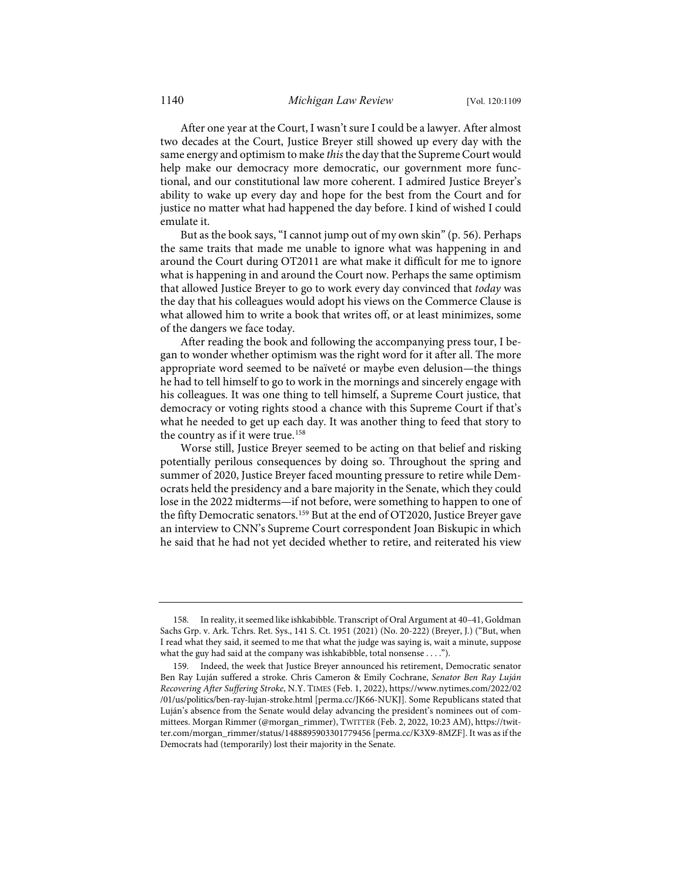After one year at the Court, I wasn't sure I could be a lawyer. After almost two decades at the Court, Justice Breyer still showed up every day with the same energy and optimism to make *this* the day that the Supreme Court would help make our democracy more democratic, our government more functional, and our constitutional law more coherent. I admired Justice Breyer's ability to wake up every day and hope for the best from the Court and for justice no matter what had happened the day before. I kind of wished I could emulate it.

But as the book says, "I cannot jump out of my own skin" (p. 56). Perhaps the same traits that made me unable to ignore what was happening in and around the Court during OT2011 are what make it difficult for me to ignore what is happening in and around the Court now. Perhaps the same optimism that allowed Justice Breyer to go to work every day convinced that *today* was the day that his colleagues would adopt his views on the Commerce Clause is what allowed him to write a book that writes off, or at least minimizes, some of the dangers we face today.

After reading the book and following the accompanying press tour, I began to wonder whether optimism was the right word for it after all. The more appropriate word seemed to be naïveté or maybe even delusion—the things he had to tell himself to go to work in the mornings and sincerely engage with his colleagues. It was one thing to tell himself, a Supreme Court justice, that democracy or voting rights stood a chance with this Supreme Court if that's what he needed to get up each day. It was another thing to feed that story to the country as if it were true.<sup>[158](#page-32-0)</sup>

Worse still, Justice Breyer seemed to be acting on that belief and risking potentially perilous consequences by doing so. Throughout the spring and summer of 2020, Justice Breyer faced mounting pressure to retire while Democrats held the presidency and a bare majority in the Senate, which they could lose in the 2022 midterms—if not before, were something to happen to one of the fifty Democratic senators.[159](#page-32-1) But at the end of OT2020, Justice Breyer gave an interview to CNN's Supreme Court correspondent Joan Biskupic in which he said that he had not yet decided whether to retire, and reiterated his view

<span id="page-32-0"></span><sup>158.</sup> In reality, it seemed like ishkabibble. Transcript of Oral Argument at 40–41, Goldman Sachs Grp. v. Ark. Tchrs. Ret. Sys., 141 S. Ct. 1951 (2021) (No. 20-222) (Breyer, J.) ("But, when I read what they said, it seemed to me that what the judge was saying is, wait a minute, suppose what the guy had said at the company was ishkabibble, total nonsense . . . .").

<span id="page-32-1"></span><sup>159.</sup> Indeed, the week that Justice Breyer announced his retirement, Democratic senator Ben Ray Luján suffered a stroke. Chris Cameron & Emily Cochrane, *Senator Ben Ray Luján Recovering After Suffering Stroke*, N.Y. TIMES (Feb. 1, 2022)[, https://www.nytimes.com/2022/02](https://www.nytimes.com/2022/02/01/us/politics/ben-ray-lujan-stroke.html) [/01/us/politics/ben-ray-lujan-stroke.html](https://www.nytimes.com/2022/02/01/us/politics/ben-ray-lujan-stroke.html) [\[perma.cc/JK66-NUKJ\]](https://perma.cc/JK66-NUKJ). Some Republicans stated that Luján's absence from the Senate would delay advancing the president's nominees out of committees. Morgan Rimmer (@morgan\_rimmer), TWITTER (Feb. 2, 2022, 10:23 AM), [https://twit](https://twitter.com/morgan_rimmer/status/1488895903301779456)[ter.com/morgan\\_rimmer/status/1488895903301779456](https://twitter.com/morgan_rimmer/status/1488895903301779456) [\[perma.cc/K3X9-8MZF\]](https://perma.cc/K3X9-8MZF). It was as if the Democrats had (temporarily) lost their majority in the Senate.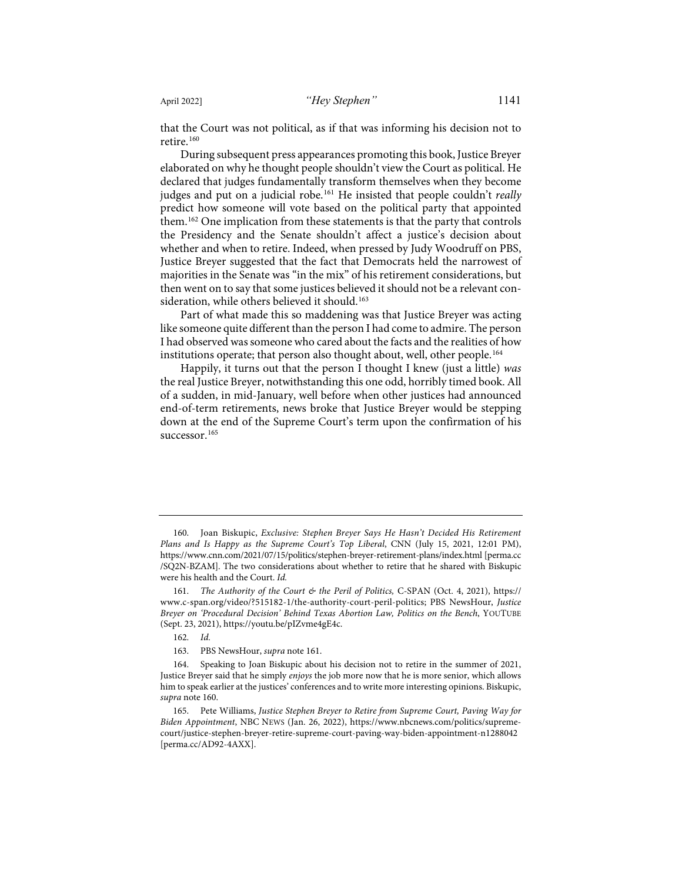<span id="page-33-1"></span>that the Court was not political, as if that was informing his decision not to retire.<sup>[160](#page-33-2)</sup>

<span id="page-33-0"></span>During subsequent press appearances promoting this book, Justice Breyer elaborated on why he thought people shouldn't view the Court as political. He declared that judges fundamentally transform themselves when they become judges and put on a judicial robe.[161](#page-33-3) He insisted that people couldn't *really* predict how someone will vote based on the political party that appointed them.[162](#page-33-4) One implication from these statements is that the party that controls the Presidency and the Senate shouldn't affect a justice's decision about whether and when to retire. Indeed, when pressed by Judy Woodruff on PBS, Justice Breyer suggested that the fact that Democrats held the narrowest of majorities in the Senate was "in the mix" of his retirement considerations, but then went on to say that some justices believed it should not be a relevant con-sideration, while others believed it should.<sup>[163](#page-33-5)</sup>

Part of what made this so maddening was that Justice Breyer was acting like someone quite different than the person I had come to admire. The person I had observed was someone who cared about the facts and the realities of how institutions operate; that person also thought about, well, other people.<sup>[164](#page-33-6)</sup>

Happily, it turns out that the person I thought I knew (just a little) *was* the real Justice Breyer, notwithstanding this one odd, horribly timed book. All of a sudden, in mid-January, well before when other justices had announced end-of-term retirements, news broke that Justice Breyer would be stepping down at the end of the Supreme Court's term upon the confirmation of his successor.<sup>[165](#page-33-7)</sup>

<span id="page-33-2"></span><sup>160.</sup> Joan Biskupic, *Exclusive: Stephen Breyer Says He Hasn't Decided His Retirement Plans and Is Happy as the Supreme Court's Top Liberal*, CNN (July 15, 2021, 12:01 PM), <https://www.cnn.com/2021/07/15/politics/stephen-breyer-retirement-plans/index.html>[\[perma.cc](https://perma.cc/SQ2N-BZAM) [/SQ2N-BZAM\]](https://perma.cc/SQ2N-BZAM). The two considerations about whether to retire that he shared with Biskupic were his health and the Court. *Id.*

<span id="page-33-3"></span><sup>161.</sup> *The Authority of the Court & the Peril of Politics,* C-SPAN (Oct. 4, 2021), [https://](https://www.c-span.org/video/?515182-1/the-authority-court-peril-politics) [www.c-span.org/video/?515182-1/the-authority-court-peril-politics;](https://www.c-span.org/video/?515182-1/the-authority-court-peril-politics) PBS NewsHour, *Justice Breyer on 'Procedural Decision' Behind Texas Abortion Law, Politics on the Bench*, YOUTUBE (Sept. 23, 2021)[, https://youtu.be/pIZvme4gE4c.](https://youtu.be/pIZvme4gE4c) 

<sup>162.</sup> *Id.*

<sup>163.</sup> [PBS](https://umich-my.sharepoint.com/Users/leahlitman/Downloads/PBS) NewsHour, *supra* not[e 161.](#page-33-0)

<span id="page-33-6"></span><span id="page-33-5"></span><span id="page-33-4"></span><sup>164.</sup> Speaking to Joan Biskupic about his decision not to retire in the summer of 2021, Justice Breyer said that he simply *enjoys* the job more now that he is more senior, which allows him to speak earlier at the justices' conferences and to write more interesting opinions. Biskupic, *supra* note [160.](#page-33-1)

<span id="page-33-7"></span><sup>165.</sup> Pete Williams, *Justice Stephen Breyer to Retire from Supreme Court, Paving Way for Biden Appointment*, NBC NEWS (Jan. 26, 2022), [https://www.nbcnews.com/politics/supreme](https://www.nbcnews.com/politics/supreme-court/justice-stephen-breyer-retire-supreme-court-paving-way-biden-appointment-n1288042)[court/justice-stephen-breyer-retire-supreme-court-paving-way-biden-appointment-n1288042](https://www.nbcnews.com/politics/supreme-court/justice-stephen-breyer-retire-supreme-court-paving-way-biden-appointment-n1288042) [\[perma.cc/AD92-4AXX\]](https://perma.cc/AD92-4AXX).